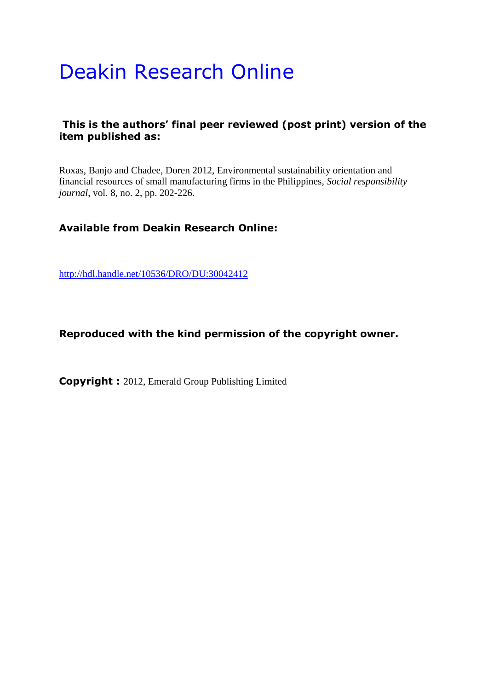# Deakin Research Online

# **This is the authors' final peer reviewed (post print) version of the item published as:**

Roxas, Banjo and Chadee, Doren 2012, Environmental sustainability orientation and financial resources of small manufacturing firms in the Philippines*, Social responsibility journal*, vol. 8, no. 2, pp. 202-226.

# **Available from Deakin Research Online:**

<http://hdl.handle.net/10536/DRO/DU:30042412>

# **Reproduced with the kind permission of the copyright owner.**

**Copyright :** 2012, Emerald Group Publishing Limited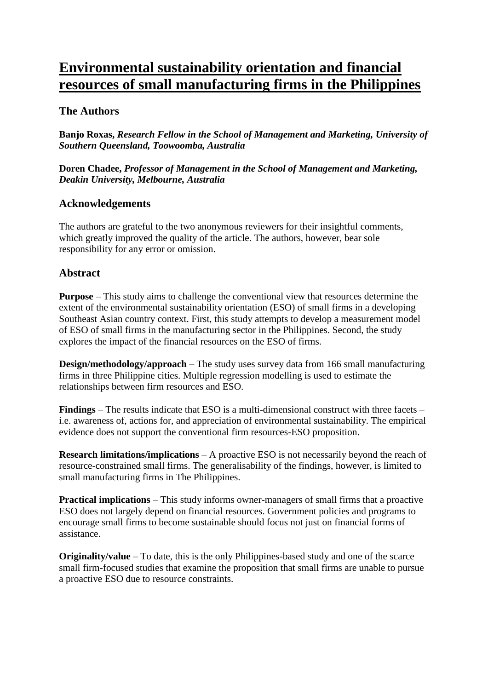# **Environmental sustainability orientation and financial resources of small manufacturing firms in the Philippines**

# **The Authors**

**Banjo Roxas,** *Research Fellow in the School of Management and Marketing, University of Southern Queensland, Toowoomba, Australia*

**Doren Chadee,** *Professor of Management in the School of Management and Marketing, Deakin University, Melbourne, Australia*

# **Acknowledgements**

The authors are grateful to the two anonymous reviewers for their insightful comments, which greatly improved the quality of the article. The authors, however, bear sole responsibility for any error or omission.

# **Abstract**

**Purpose** – This study aims to challenge the conventional view that resources determine the extent of the environmental sustainability orientation (ESO) of small firms in a developing Southeast Asian country context. First, this study attempts to develop a measurement model of ESO of small firms in the manufacturing sector in the Philippines. Second, the study explores the impact of the financial resources on the ESO of firms.

**Design/methodology/approach** – The study uses survey data from 166 small manufacturing firms in three Philippine cities. Multiple regression modelling is used to estimate the relationships between firm resources and ESO.

**Findings** – The results indicate that ESO is a multi-dimensional construct with three facets – i.e. awareness of, actions for, and appreciation of environmental sustainability. The empirical evidence does not support the conventional firm resources-ESO proposition.

**Research limitations/implications** – A proactive ESO is not necessarily beyond the reach of resource-constrained small firms. The generalisability of the findings, however, is limited to small manufacturing firms in The Philippines.

**Practical implications** – This study informs owner-managers of small firms that a proactive ESO does not largely depend on financial resources. Government policies and programs to encourage small firms to become sustainable should focus not just on financial forms of assistance.

**Originality/value** – To date, this is the only Philippines-based study and one of the scarce small firm-focused studies that examine the proposition that small firms are unable to pursue a proactive ESO due to resource constraints.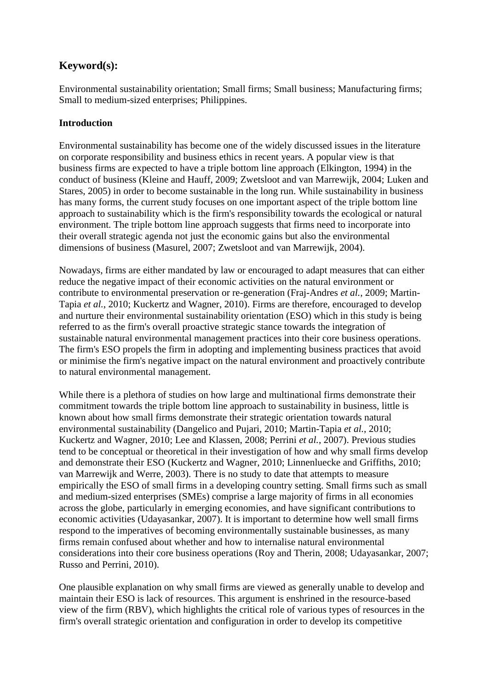# **Keyword(s):**

Environmental sustainability orientation; Small firms; Small business; Manufacturing firms; Small to medium-sized enterprises; Philippines.

#### **Introduction**

Environmental sustainability has become one of the widely discussed issues in the literature on corporate responsibility and business ethics in recent years. A popular view is that business firms are expected to have a triple bottom line approach [\(Elkington, 1994\)](http://www.emeraldinsight.com/journals.htm?issn=1747-1117&volume=8&issue=2&articleid=17036391&show=html#idb28) in the conduct of business [\(Kleine and Hauff, 2009;](http://www.emeraldinsight.com/journals.htm?issn=1747-1117&volume=8&issue=2&articleid=17036391&show=html#idb45) [Zwetsloot and van Marrewijk, 2004;](http://www.emeraldinsight.com/journals.htm?issn=1747-1117&volume=8&issue=2&articleid=17036391&show=html#idb86) [Luken and](http://www.emeraldinsight.com/journals.htm?issn=1747-1117&volume=8&issue=2&articleid=17036391&show=html#idb52)  [Stares, 2005\)](http://www.emeraldinsight.com/journals.htm?issn=1747-1117&volume=8&issue=2&articleid=17036391&show=html#idb52) in order to become sustainable in the long run. While sustainability in business has many forms, the current study focuses on one important aspect of the triple bottom line approach to sustainability which is the firm's responsibility towards the ecological or natural environment. The triple bottom line approach suggests that firms need to incorporate into their overall strategic agenda not just the economic gains but also the environmental dimensions of business [\(Masurel, 2007;](http://www.emeraldinsight.com/journals.htm?issn=1747-1117&volume=8&issue=2&articleid=17036391&show=html#idb55) [Zwetsloot and van Marrewijk, 2004\)](http://www.emeraldinsight.com/journals.htm?issn=1747-1117&volume=8&issue=2&articleid=17036391&show=html#idb86).

Nowadays, firms are either mandated by law or encouraged to adapt measures that can either reduce the negative impact of their economic activities on the natural environment or contribute to environmental preservation or re-generation [\(Fraj-Andres](http://www.emeraldinsight.com/journals.htm?issn=1747-1117&volume=8&issue=2&articleid=17036391&show=html#idb31) *et al.*, 2009; [Martin-](http://www.emeraldinsight.com/journals.htm?issn=1747-1117&volume=8&issue=2&articleid=17036391&show=html#idb54)Tapia *et al.*[, 2010;](http://www.emeraldinsight.com/journals.htm?issn=1747-1117&volume=8&issue=2&articleid=17036391&show=html#idb54) [Kuckertz and Wagner, 2010\)](http://www.emeraldinsight.com/journals.htm?issn=1747-1117&volume=8&issue=2&articleid=17036391&show=html#idb46). Firms are therefore, encouraged to develop and nurture their environmental sustainability orientation (ESO) which in this study is being referred to as the firm's overall proactive strategic stance towards the integration of sustainable natural environmental management practices into their core business operations. The firm's ESO propels the firm in adopting and implementing business practices that avoid or minimise the firm's negative impact on the natural environment and proactively contribute to natural environmental management.

While there is a plethora of studies on how large and multinational firms demonstrate their commitment towards the triple bottom line approach to sustainability in business, little is known about how small firms demonstrate their strategic orientation towards natural environmental sustainability [\(Dangelico and Pujari, 2010;](http://www.emeraldinsight.com/journals.htm?issn=1747-1117&volume=8&issue=2&articleid=17036391&show=html#idb25) [Martin-Tapia](http://www.emeraldinsight.com/journals.htm?issn=1747-1117&volume=8&issue=2&articleid=17036391&show=html#idb54) *et al.*, 2010; [Kuckertz and Wagner, 2010;](http://www.emeraldinsight.com/journals.htm?issn=1747-1117&volume=8&issue=2&articleid=17036391&show=html#idb46) [Lee and Klassen, 2008;](http://www.emeraldinsight.com/journals.htm?issn=1747-1117&volume=8&issue=2&articleid=17036391&show=html#idb48) [Perrini](http://www.emeraldinsight.com/journals.htm?issn=1747-1117&volume=8&issue=2&articleid=17036391&show=html#idb65) *et al.*, 2007). Previous studies tend to be conceptual or theoretical in their investigation of how and why small firms develop and demonstrate their ESO [\(Kuckertz and Wagner, 2010;](http://www.emeraldinsight.com/journals.htm?issn=1747-1117&volume=8&issue=2&articleid=17036391&show=html#idb46) [Linnenluecke and Griffiths, 2010;](http://www.emeraldinsight.com/journals.htm?issn=1747-1117&volume=8&issue=2&articleid=17036391&show=html#idb51) [van Marrewijk and Werre, 2003\)](http://www.emeraldinsight.com/journals.htm?issn=1747-1117&volume=8&issue=2&articleid=17036391&show=html#idb79). There is no study to date that attempts to measure empirically the ESO of small firms in a developing country setting. Small firms such as small and medium-sized enterprises (SMEs) comprise a large majority of firms in all economies across the globe, particularly in emerging economies, and have significant contributions to economic activities [\(Udayasankar, 2007\)](http://www.emeraldinsight.com/journals.htm?issn=1747-1117&volume=8&issue=2&articleid=17036391&show=html#idb76). It is important to determine how well small firms respond to the imperatives of becoming environmentally sustainable businesses, as many firms remain confused about whether and how to internalise natural environmental considerations into their core business operations [\(Roy and Therin, 2008;](http://www.emeraldinsight.com/journals.htm?issn=1747-1117&volume=8&issue=2&articleid=17036391&show=html#idb70) [Udayasankar, 2007;](http://www.emeraldinsight.com/journals.htm?issn=1747-1117&volume=8&issue=2&articleid=17036391&show=html#idb76) [Russo and Perrini, 2010\)](http://www.emeraldinsight.com/journals.htm?issn=1747-1117&volume=8&issue=2&articleid=17036391&show=html#idb71).

One plausible explanation on why small firms are viewed as generally unable to develop and maintain their ESO is lack of resources. This argument is enshrined in the resource-based view of the firm (RBV), which highlights the critical role of various types of resources in the firm's overall strategic orientation and configuration in order to develop its competitive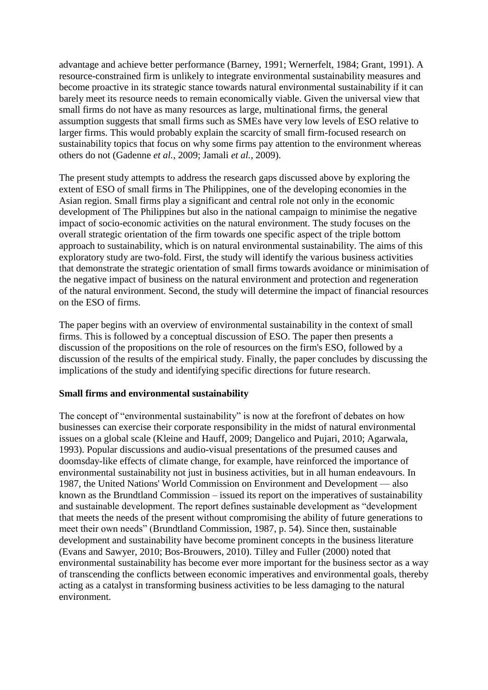advantage and achieve better performance [\(Barney, 1991;](http://www.emeraldinsight.com/journals.htm?issn=1747-1117&volume=8&issue=2&articleid=17036391&show=html#idb12) [Wernerfelt, 1984;](http://www.emeraldinsight.com/journals.htm?issn=1747-1117&volume=8&issue=2&articleid=17036391&show=html#idb83) [Grant, 1991\)](http://www.emeraldinsight.com/journals.htm?issn=1747-1117&volume=8&issue=2&articleid=17036391&show=html#idb36). A resource-constrained firm is unlikely to integrate environmental sustainability measures and become proactive in its strategic stance towards natural environmental sustainability if it can barely meet its resource needs to remain economically viable. Given the universal view that small firms do not have as many resources as large, multinational firms, the general assumption suggests that small firms such as SMEs have very low levels of ESO relative to larger firms. This would probably explain the scarcity of small firm-focused research on sustainability topics that focus on why some firms pay attention to the environment whereas others do not [\(Gadenne](http://www.emeraldinsight.com/journals.htm?issn=1747-1117&volume=8&issue=2&articleid=17036391&show=html#idb33) *et al.*, 2009; [Jamali](http://www.emeraldinsight.com/journals.htm?issn=1747-1117&volume=8&issue=2&articleid=17036391&show=html#idb38) *et al.*, 2009).

The present study attempts to address the research gaps discussed above by exploring the extent of ESO of small firms in The Philippines, one of the developing economies in the Asian region. Small firms play a significant and central role not only in the economic development of The Philippines but also in the national campaign to minimise the negative impact of socio-economic activities on the natural environment. The study focuses on the overall strategic orientation of the firm towards one specific aspect of the triple bottom approach to sustainability, which is on natural environmental sustainability. The aims of this exploratory study are two-fold. First, the study will identify the various business activities that demonstrate the strategic orientation of small firms towards avoidance or minimisation of the negative impact of business on the natural environment and protection and regeneration of the natural environment. Second, the study will determine the impact of financial resources on the ESO of firms.

The paper begins with an overview of environmental sustainability in the context of small firms. This is followed by a conceptual discussion of ESO. The paper then presents a discussion of the propositions on the role of resources on the firm's ESO, followed by a discussion of the results of the empirical study. Finally, the paper concludes by discussing the implications of the study and identifying specific directions for future research.

#### **Small firms and environmental sustainability**

The concept of "environmental sustainability" is now at the forefront of debates on how businesses can exercise their corporate responsibility in the midst of natural environmental issues on a global scale [\(Kleine and Hauff, 2009;](http://www.emeraldinsight.com/journals.htm?issn=1747-1117&volume=8&issue=2&articleid=17036391&show=html#idb45) [Dangelico and Pujari, 2010;](http://www.emeraldinsight.com/journals.htm?issn=1747-1117&volume=8&issue=2&articleid=17036391&show=html#idb25) [Agarwala,](http://www.emeraldinsight.com/journals.htm?issn=1747-1117&volume=8&issue=2&articleid=17036391&show=html#idb2)  [1993\)](http://www.emeraldinsight.com/journals.htm?issn=1747-1117&volume=8&issue=2&articleid=17036391&show=html#idb2). Popular discussions and audio-visual presentations of the presumed causes and doomsday-like effects of climate change, for example, have reinforced the importance of environmental sustainability not just in business activities, but in all human endeavours. In 1987, the United Nations' World Commission on Environment and Development — also known as the Brundtland Commission – issued its report on the imperatives of sustainability and sustainable development. The report defines sustainable development as "development that meets the needs of the present without compromising the ability of future generations to meet their own needs" [\(Brundtland Commission, 1987,](http://www.emeraldinsight.com/journals.htm?issn=1747-1117&volume=8&issue=2&articleid=17036391&show=html#idb19) p. 54). Since then, sustainable development and sustainability have become prominent concepts in the business literature [\(Evans and Sawyer, 2010;](http://www.emeraldinsight.com/journals.htm?issn=1747-1117&volume=8&issue=2&articleid=17036391&show=html#idb29) [Bos-Brouwers, 2010\)](http://www.emeraldinsight.com/journals.htm?issn=1747-1117&volume=8&issue=2&articleid=17036391&show=html#idb17). [Tilley and Fuller \(2000\)](http://www.emeraldinsight.com/journals.htm?issn=1747-1117&volume=8&issue=2&articleid=17036391&show=html#idb75) noted that environmental sustainability has become ever more important for the business sector as a way of transcending the conflicts between economic imperatives and environmental goals, thereby acting as a catalyst in transforming business activities to be less damaging to the natural environment.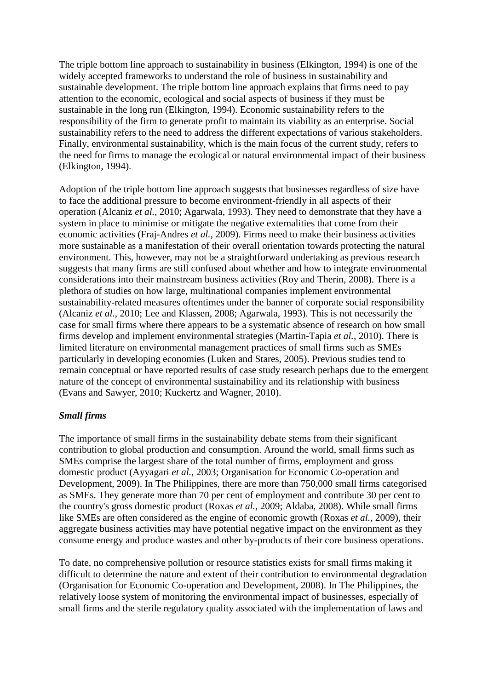The triple bottom line approach to sustainability in business [\(Elkington, 1994\)](http://www.emeraldinsight.com/journals.htm?issn=1747-1117&volume=8&issue=2&articleid=17036391&show=html#idb28) is one of the widely accepted frameworks to understand the role of business in sustainability and sustainable development. The triple bottom line approach explains that firms need to pay attention to the economic, ecological and social aspects of business if they must be sustainable in the long run [\(Elkington, 1994\)](http://www.emeraldinsight.com/journals.htm?issn=1747-1117&volume=8&issue=2&articleid=17036391&show=html#idb28). Economic sustainability refers to the responsibility of the firm to generate profit to maintain its viability as an enterprise. Social sustainability refers to the need to address the different expectations of various stakeholders. Finally, environmental sustainability, which is the main focus of the current study, refers to the need for firms to manage the ecological or natural environmental impact of their business [\(Elkington, 1994\)](http://www.emeraldinsight.com/journals.htm?issn=1747-1117&volume=8&issue=2&articleid=17036391&show=html#idb28).

Adoption of the triple bottom line approach suggests that businesses regardless of size have to face the additional pressure to become environment-friendly in all aspects of their operation [\(Alcaniz](http://www.emeraldinsight.com/journals.htm?issn=1747-1117&volume=8&issue=2&articleid=17036391&show=html#idb3) *et al.*, 2010; [Agarwala, 1993\)](http://www.emeraldinsight.com/journals.htm?issn=1747-1117&volume=8&issue=2&articleid=17036391&show=html#idb2). They need to demonstrate that they have a system in place to minimise or mitigate the negative externalities that come from their economic activities [\(Fraj-Andres](http://www.emeraldinsight.com/journals.htm?issn=1747-1117&volume=8&issue=2&articleid=17036391&show=html#idb31) *et al.*, 2009). Firms need to make their business activities more sustainable as a manifestation of their overall orientation towards protecting the natural environment. This, however, may not be a straightforward undertaking as previous research suggests that many firms are still confused about whether and how to integrate environmental considerations into their mainstream business activities [\(Roy and Therin, 2008\)](http://www.emeraldinsight.com/journals.htm?issn=1747-1117&volume=8&issue=2&articleid=17036391&show=html#idb70). There is a plethora of studies on how large, multinational companies implement environmental sustainability-related measures oftentimes under the banner of corporate social responsibility [\(Alcaniz](http://www.emeraldinsight.com/journals.htm?issn=1747-1117&volume=8&issue=2&articleid=17036391&show=html#idb3) *et al.*, 2010; [Lee and Klassen, 2008;](http://www.emeraldinsight.com/journals.htm?issn=1747-1117&volume=8&issue=2&articleid=17036391&show=html#idb48) [Agarwala, 1993\)](http://www.emeraldinsight.com/journals.htm?issn=1747-1117&volume=8&issue=2&articleid=17036391&show=html#idb2). This is not necessarily the case for small firms where there appears to be a systematic absence of research on how small firms develop and implement environmental strategies [\(Martin-Tapia](http://www.emeraldinsight.com/journals.htm?issn=1747-1117&volume=8&issue=2&articleid=17036391&show=html#idb54) *et al.*, 2010). There is limited literature on environmental management practices of small firms such as SMEs particularly in developing economies [\(Luken and Stares,](http://www.emeraldinsight.com/journals.htm?issn=1747-1117&volume=8&issue=2&articleid=17036391&show=html#idb52) 2005). Previous studies tend to remain conceptual or have reported results of case study research perhaps due to the emergent nature of the concept of environmental sustainability and its relationship with business [\(Evans and Sawyer, 2010;](http://www.emeraldinsight.com/journals.htm?issn=1747-1117&volume=8&issue=2&articleid=17036391&show=html#idb29) [Kuckertz and Wagner, 2010\)](http://www.emeraldinsight.com/journals.htm?issn=1747-1117&volume=8&issue=2&articleid=17036391&show=html#idb46).

#### *Small firms*

The importance of small firms in the sustainability debate stems from their significant contribution to global production and consumption. Around the world, small firms such as SMEs comprise the largest share of the total number of firms, employment and gross domestic product [\(Ayyagari](http://www.emeraldinsight.com/journals.htm?issn=1747-1117&volume=8&issue=2&articleid=17036391&show=html#idb8) *et al.*, 2003; [Organisation for Economic Co-operation and](http://www.emeraldinsight.com/journals.htm?issn=1747-1117&volume=8&issue=2&articleid=17036391&show=html#idb60)  [Development, 2009\)](http://www.emeraldinsight.com/journals.htm?issn=1747-1117&volume=8&issue=2&articleid=17036391&show=html#idb60). In The Philippines, there are more than 750,000 small firms categorised as SMEs. They generate more than 70 per cent of employment and contribute 30 per cent to the country's gross domestic product [\(Roxas](http://www.emeraldinsight.com/journals.htm?issn=1747-1117&volume=8&issue=2&articleid=17036391&show=html#idb69) *et al.*, 2009; [Aldaba, 2008\)](http://www.emeraldinsight.com/journals.htm?issn=1747-1117&volume=8&issue=2&articleid=17036391&show=html#idb4). While small firms like SMEs are often considered as the engine of economic growth [\(Roxas](http://www.emeraldinsight.com/journals.htm?issn=1747-1117&volume=8&issue=2&articleid=17036391&show=html#idb69) *et al.*, 2009), their aggregate business activities may have potential negative impact on the environment as they consume energy and produce wastes and other by-products of their core business operations.

To date, no comprehensive pollution or resource statistics exists for small firms making it difficult to determine the nature and extent of their contribution to environmental degradation [\(Organisation for Economic Co-operation and Development, 2008\)](http://www.emeraldinsight.com/journals.htm?issn=1747-1117&volume=8&issue=2&articleid=17036391&show=html#idb59). In The Philippines, the relatively loose system of monitoring the environmental impact of businesses, especially of small firms and the sterile regulatory quality associated with the implementation of laws and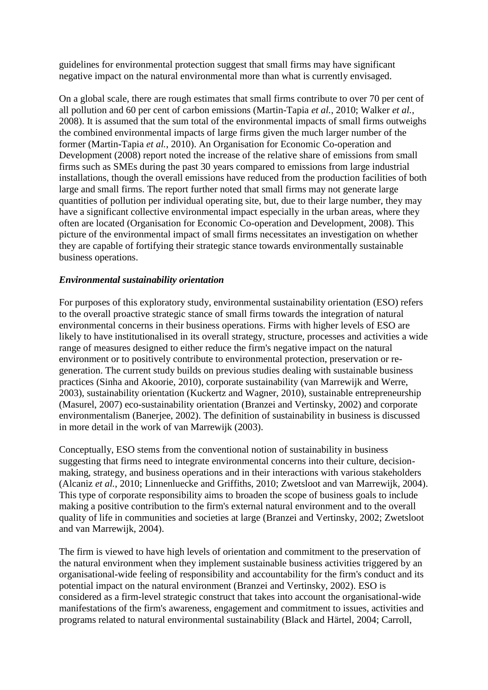guidelines for environmental protection suggest that small firms may have significant negative impact on the natural environmental more than what is currently envisaged.

On a global scale, there are rough estimates that small firms contribute to over 70 per cent of all pollution and 60 per cent of carbon emissions [\(Martin-Tapia](http://www.emeraldinsight.com/journals.htm?issn=1747-1117&volume=8&issue=2&articleid=17036391&show=html#idb54) *et al.*, 2010; [Walker](http://www.emeraldinsight.com/journals.htm?issn=1747-1117&volume=8&issue=2&articleid=17036391&show=html#idb81) *et al.*, [2008\)](http://www.emeraldinsight.com/journals.htm?issn=1747-1117&volume=8&issue=2&articleid=17036391&show=html#idb81). It is assumed that the sum total of the environmental impacts of small firms outweighs the combined environmental impacts of large firms given the much larger number of the former [\(Martin-Tapia](http://www.emeraldinsight.com/journals.htm?issn=1747-1117&volume=8&issue=2&articleid=17036391&show=html#idb54) *et al.*, 2010). An [Organisation for Economic Co-operation and](http://www.emeraldinsight.com/journals.htm?issn=1747-1117&volume=8&issue=2&articleid=17036391&show=html#idb59)  [Development \(2008\)](http://www.emeraldinsight.com/journals.htm?issn=1747-1117&volume=8&issue=2&articleid=17036391&show=html#idb59) report noted the increase of the relative share of emissions from small firms such as SMEs during the past 30 years compared to emissions from large industrial installations, though the overall emissions have reduced from the production facilities of both large and small firms. The report further noted that small firms may not generate large quantities of pollution per individual operating site, but, due to their large number, they may have a significant collective environmental impact especially in the urban areas, where they often are located [\(Organisation for Economic Co-operation and Development, 2008\)](http://www.emeraldinsight.com/journals.htm?issn=1747-1117&volume=8&issue=2&articleid=17036391&show=html#idb59). This picture of the environmental impact of small firms necessitates an investigation on whether they are capable of fortifying their strategic stance towards environmentally sustainable business operations.

#### *Environmental sustainability orientation*

For purposes of this exploratory study, environmental sustainability orientation (ESO) refers to the overall proactive strategic stance of small firms towards the integration of natural environmental concerns in their business operations. Firms with higher levels of ESO are likely to have institutionalised in its overall strategy, structure, processes and activities a wide range of measures designed to either reduce the firm's negative impact on the natural environment or to positively contribute to environmental protection, preservation or regeneration. The current study builds on previous studies dealing with sustainable business practices [\(Sinha and Akoorie, 2010\)](http://www.emeraldinsight.com/journals.htm?issn=1747-1117&volume=8&issue=2&articleid=17036391&show=html#idb73), corporate sustainability [\(van Marrewijk and Werre,](http://www.emeraldinsight.com/journals.htm?issn=1747-1117&volume=8&issue=2&articleid=17036391&show=html#idb79)  [2003\)](http://www.emeraldinsight.com/journals.htm?issn=1747-1117&volume=8&issue=2&articleid=17036391&show=html#idb79), sustainability orientation [\(Kuckertz and Wagner, 2010\)](http://www.emeraldinsight.com/journals.htm?issn=1747-1117&volume=8&issue=2&articleid=17036391&show=html#idb46), sustainable entrepreneurship [\(Masurel, 2007\)](http://www.emeraldinsight.com/journals.htm?issn=1747-1117&volume=8&issue=2&articleid=17036391&show=html#idb55) eco-sustainability orientation [\(Branzei and Vertinsky, 2002\)](http://www.emeraldinsight.com/journals.htm?issn=1747-1117&volume=8&issue=2&articleid=17036391&show=html#idb18) and corporate environmentalism [\(Banerjee, 2002\)](http://www.emeraldinsight.com/journals.htm?issn=1747-1117&volume=8&issue=2&articleid=17036391&show=html#idb11). The definition of sustainability in business is discussed in more detail in the work of [van Marrewijk \(2003\).](http://www.emeraldinsight.com/journals.htm?issn=1747-1117&volume=8&issue=2&articleid=17036391&show=html#idb78)

Conceptually, ESO stems from the conventional notion of sustainability in business suggesting that firms need to integrate environmental concerns into their culture, decisionmaking, strategy, and business operations and in their interactions with various stakeholders [\(Alcaniz](http://www.emeraldinsight.com/journals.htm?issn=1747-1117&volume=8&issue=2&articleid=17036391&show=html#idb3) *et al.*, 2010; [Linnenluecke and Griffiths, 2010;](http://www.emeraldinsight.com/journals.htm?issn=1747-1117&volume=8&issue=2&articleid=17036391&show=html#idb51) [Zwetsloot and van Marrewijk, 2004\)](http://www.emeraldinsight.com/journals.htm?issn=1747-1117&volume=8&issue=2&articleid=17036391&show=html#idb86). This type of corporate responsibility aims to broaden the scope of business goals to include making a positive contribution to the firm's external natural environment and to the overall quality of life in communities and societies at large [\(Branzei and Vertinsky, 2002;](http://www.emeraldinsight.com/journals.htm?issn=1747-1117&volume=8&issue=2&articleid=17036391&show=html#idb18) [Zwetsloot](http://www.emeraldinsight.com/journals.htm?issn=1747-1117&volume=8&issue=2&articleid=17036391&show=html#idb86)  [and van Marrewijk, 2004\)](http://www.emeraldinsight.com/journals.htm?issn=1747-1117&volume=8&issue=2&articleid=17036391&show=html#idb86).

The firm is viewed to have high levels of orientation and commitment to the preservation of the natural environment when they implement sustainable business activities triggered by an organisational-wide feeling of responsibility and accountability for the firm's conduct and its potential impact on the natural environment [\(Branzei and Vertinsky, 2002\)](http://www.emeraldinsight.com/journals.htm?issn=1747-1117&volume=8&issue=2&articleid=17036391&show=html#idb18). ESO is considered as a firm-level strategic construct that takes into account the organisational-wide manifestations of the firm's awareness, engagement and commitment to issues, activities and programs related to natural environmental sustainability [\(Black and Härtel, 2004;](http://www.emeraldinsight.com/journals.htm?issn=1747-1117&volume=8&issue=2&articleid=17036391&show=html#idb14) [Carroll,](http://www.emeraldinsight.com/journals.htm?issn=1747-1117&volume=8&issue=2&articleid=17036391&show=html#idb20)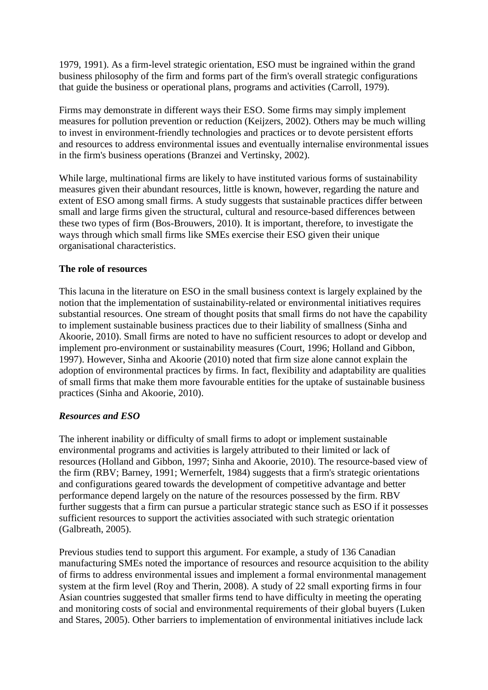[1979,](http://www.emeraldinsight.com/journals.htm?issn=1747-1117&volume=8&issue=2&articleid=17036391&show=html#idb20) [1991\)](http://www.emeraldinsight.com/journals.htm?issn=1747-1117&volume=8&issue=2&articleid=17036391&show=html#idb21). As a firm-level strategic orientation, ESO must be ingrained within the grand business philosophy of the firm and forms part of the firm's overall strategic configurations that guide the business or operational plans, programs and activities [\(Carroll, 1979\)](http://www.emeraldinsight.com/journals.htm?issn=1747-1117&volume=8&issue=2&articleid=17036391&show=html#idb20).

Firms may demonstrate in different ways their ESO. Some firms may simply implement measures for pollution prevention or reduction [\(Keijzers, 2002\)](http://www.emeraldinsight.com/journals.htm?issn=1747-1117&volume=8&issue=2&articleid=17036391&show=html#idb44). Others may be much willing to invest in environment-friendly technologies and practices or to devote persistent efforts and resources to address environmental issues and eventually internalise environmental issues in the firm's business operations [\(Branzei and Vertinsky, 2002\)](http://www.emeraldinsight.com/journals.htm?issn=1747-1117&volume=8&issue=2&articleid=17036391&show=html#idb18).

While large, multinational firms are likely to have instituted various forms of sustainability measures given their abundant resources, little is known, however, regarding the nature and extent of ESO among small firms. A study suggests that sustainable practices differ between small and large firms given the structural, cultural and resource-based differences between these two types of firm [\(Bos-Brouwers, 2010\)](http://www.emeraldinsight.com/journals.htm?issn=1747-1117&volume=8&issue=2&articleid=17036391&show=html#idb17). It is important, therefore, to investigate the ways through which small firms like SMEs exercise their ESO given their unique organisational characteristics.

#### **The role of resources**

This lacuna in the literature on ESO in the small business context is largely explained by the notion that the implementation of sustainability-related or environmental initiatives requires substantial resources. One stream of thought posits that small firms do not have the capability to implement sustainable business practices due to their liability of smallness [\(Sinha and](http://www.emeraldinsight.com/journals.htm?issn=1747-1117&volume=8&issue=2&articleid=17036391&show=html#idb73)  [Akoorie, 2010\)](http://www.emeraldinsight.com/journals.htm?issn=1747-1117&volume=8&issue=2&articleid=17036391&show=html#idb73). Small firms are noted to have no sufficient resources to adopt or develop and implement pro-environment or sustainability measures [\(Court, 1996;](http://www.emeraldinsight.com/journals.htm?issn=1747-1117&volume=8&issue=2&articleid=17036391&show=html#idb23) [Holland and Gibbon,](http://www.emeraldinsight.com/journals.htm?issn=1747-1117&volume=8&issue=2&articleid=17036391&show=html#idb43)  [1997\)](http://www.emeraldinsight.com/journals.htm?issn=1747-1117&volume=8&issue=2&articleid=17036391&show=html#idb43). However, [Sinha and Akoorie \(2010\)](http://www.emeraldinsight.com/journals.htm?issn=1747-1117&volume=8&issue=2&articleid=17036391&show=html#idb73) noted that firm size alone cannot explain the adoption of environmental practices by firms. In fact, flexibility and adaptability are qualities of small firms that make them more favourable entities for the uptake of sustainable business practices [\(Sinha and Akoorie, 2010\)](http://www.emeraldinsight.com/journals.htm?issn=1747-1117&volume=8&issue=2&articleid=17036391&show=html#idb73).

#### *Resources and ESO*

The inherent inability or difficulty of small firms to adopt or implement sustainable environmental programs and activities is largely attributed to their limited or lack of resources [\(Holland and Gibbon, 1997;](http://www.emeraldinsight.com/journals.htm?issn=1747-1117&volume=8&issue=2&articleid=17036391&show=html#idb43) [Sinha and Akoorie, 2010\)](http://www.emeraldinsight.com/journals.htm?issn=1747-1117&volume=8&issue=2&articleid=17036391&show=html#idb73). The resource-based view of the firm (RBV; [Barney, 1991;](http://www.emeraldinsight.com/journals.htm?issn=1747-1117&volume=8&issue=2&articleid=17036391&show=html#idb12) [Wernerfelt, 1984\)](http://www.emeraldinsight.com/journals.htm?issn=1747-1117&volume=8&issue=2&articleid=17036391&show=html#idb83) suggests that a firm's strategic orientations and configurations geared towards the development of competitive advantage and better performance depend largely on the nature of the resources possessed by the firm. RBV further suggests that a firm can pursue a particular strategic stance such as ESO if it possesses sufficient resources to support the activities associated with such strategic orientation [\(Galbreath, 2005\)](http://www.emeraldinsight.com/journals.htm?issn=1747-1117&volume=8&issue=2&articleid=17036391&show=html#idb34).

Previous studies tend to support this argument. For example, a study of 136 Canadian manufacturing SMEs noted the importance of resources and resource acquisition to the ability of firms to address environmental issues and implement a formal environmental management system at the firm level [\(Roy and Therin, 2008\)](http://www.emeraldinsight.com/journals.htm?issn=1747-1117&volume=8&issue=2&articleid=17036391&show=html#idb70). A study of 22 small exporting firms in four Asian countries suggested that smaller firms tend to have difficulty in meeting the operating and monitoring costs of social and environmental requirements of their global buyers [\(Luken](http://www.emeraldinsight.com/journals.htm?issn=1747-1117&volume=8&issue=2&articleid=17036391&show=html#idb52)  [and Stares, 2005\)](http://www.emeraldinsight.com/journals.htm?issn=1747-1117&volume=8&issue=2&articleid=17036391&show=html#idb52). Other barriers to implementation of environmental initiatives include lack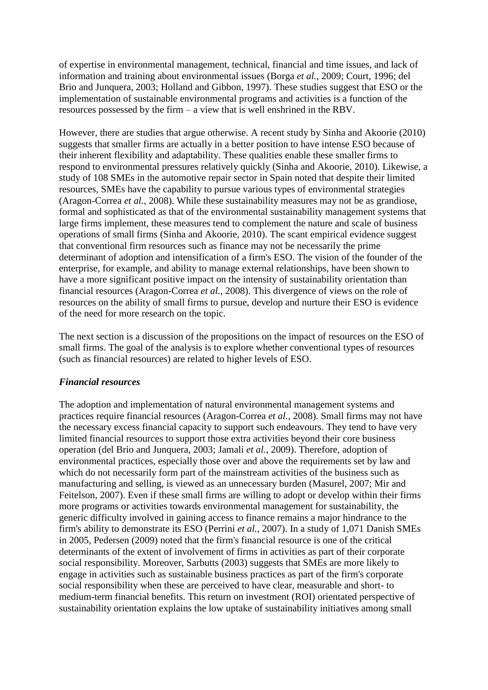of expertise in environmental management, technical, financial and time issues, and lack of information and training about environmental issues [\(Borga](http://www.emeraldinsight.com/journals.htm?issn=1747-1117&volume=8&issue=2&articleid=17036391&show=html#idb16) *et al.*, 2009; [Court, 1996;](http://www.emeraldinsight.com/journals.htm?issn=1747-1117&volume=8&issue=2&articleid=17036391&show=html#idb23) [del](http://www.emeraldinsight.com/journals.htm?issn=1747-1117&volume=8&issue=2&articleid=17036391&show=html#idb26)  [Brio and Junquera, 2003;](http://www.emeraldinsight.com/journals.htm?issn=1747-1117&volume=8&issue=2&articleid=17036391&show=html#idb26) [Holland and Gibbon, 1997\)](http://www.emeraldinsight.com/journals.htm?issn=1747-1117&volume=8&issue=2&articleid=17036391&show=html#idb43). These studies suggest that ESO or the implementation of sustainable environmental programs and activities is a function of the resources possessed by the firm – a view that is well enshrined in the RBV.

However, there are studies that argue otherwise. A recent study by [Sinha and Akoorie \(2010\)](http://www.emeraldinsight.com/journals.htm?issn=1747-1117&volume=8&issue=2&articleid=17036391&show=html#idb73) suggests that smaller firms are actually in a better position to have intense ESO because of their inherent flexibility and adaptability. These qualities enable these smaller firms to respond to environmental pressures relatively quickly [\(Sinha and Akoorie, 2010\)](http://www.emeraldinsight.com/journals.htm?issn=1747-1117&volume=8&issue=2&articleid=17036391&show=html#idb73). Likewise, a study of 108 SMEs in the automotive repair sector in Spain noted that despite their limited resources, SMEs have the capability to pursue various types of environmental strategies [\(Aragon-Correa](http://www.emeraldinsight.com/journals.htm?issn=1747-1117&volume=8&issue=2&articleid=17036391&show=html#idb5) *et al.*, 2008). While these sustainability measures may not be as grandiose, formal and sophisticated as that of the environmental sustainability management systems that large firms implement, these measures tend to complement the nature and scale of business operations of small firms [\(Sinha and Akoorie, 2010\)](http://www.emeraldinsight.com/journals.htm?issn=1747-1117&volume=8&issue=2&articleid=17036391&show=html#idb73). The scant empirical evidence suggest that conventional firm resources such as finance may not be necessarily the prime determinant of adoption and intensification of a firm's ESO. The vision of the founder of the enterprise, for example, and ability to manage external relationships, have been shown to have a more significant positive impact on the intensity of sustainability orientation than financial resources [\(Aragon-Correa](http://www.emeraldinsight.com/journals.htm?issn=1747-1117&volume=8&issue=2&articleid=17036391&show=html#idb5) *et al.*, 2008). This divergence of views on the role of resources on the ability of small firms to pursue, develop and nurture their ESO is evidence of the need for more research on the topic.

The next section is a discussion of the propositions on the impact of resources on the ESO of small firms. The goal of the analysis is to explore whether conventional types of resources (such as financial resources) are related to higher levels of ESO.

#### *Financial resources*

The adoption and implementation of natural environmental management systems and practices require financial resources [\(Aragon-Correa](http://www.emeraldinsight.com/journals.htm?issn=1747-1117&volume=8&issue=2&articleid=17036391&show=html#idb5) *et al.*, 2008). Small firms may not have the necessary excess financial capacity to support such endeavours. They tend to have very limited financial resources to support those extra activities beyond their core business operation [\(del Brio and Junquera, 2003;](http://www.emeraldinsight.com/journals.htm?issn=1747-1117&volume=8&issue=2&articleid=17036391&show=html#idb26) [Jamali](http://www.emeraldinsight.com/journals.htm?issn=1747-1117&volume=8&issue=2&articleid=17036391&show=html#idb38) *et al.*, 2009). Therefore, adoption of environmental practices, especially those over and above the requirements set by law and which do not necessarily form part of the mainstream activities of the business such as manufacturing and selling, is viewed as an unnecessary burden [\(Masurel, 2007;](http://www.emeraldinsight.com/journals.htm?issn=1747-1117&volume=8&issue=2&articleid=17036391&show=html#idb55) [Mir and](http://www.emeraldinsight.com/journals.htm?issn=1747-1117&volume=8&issue=2&articleid=17036391&show=html#idb56)  [Feitelson, 2007\)](http://www.emeraldinsight.com/journals.htm?issn=1747-1117&volume=8&issue=2&articleid=17036391&show=html#idb56). Even if these small firms are willing to adopt or develop within their firms more programs or activities towards environmental management for sustainability, the generic difficulty involved in gaining access to finance remains a major hindrance to the firm's ability to demonstrate its ESO [\(Perrini](http://www.emeraldinsight.com/journals.htm?issn=1747-1117&volume=8&issue=2&articleid=17036391&show=html#idb65) *et al.*, 2007). In a study of 1,071 Danish SMEs in 2005, [Pedersen \(2009\)](http://www.emeraldinsight.com/journals.htm?issn=1747-1117&volume=8&issue=2&articleid=17036391&show=html#idb62) noted that the firm's financial resource is one of the critical determinants of the extent of involvement of firms in activities as part of their corporate social responsibility. Moreover, [Sarbutts \(2003\)](http://www.emeraldinsight.com/journals.htm?issn=1747-1117&volume=8&issue=2&articleid=17036391&show=html#idb72) suggests that SMEs are more likely to engage in activities such as sustainable business practices as part of the firm's corporate social responsibility when these are perceived to have clear, measurable and short- to medium-term financial benefits. This return on investment (ROI) orientated perspective of sustainability orientation explains the low uptake of sustainability initiatives among small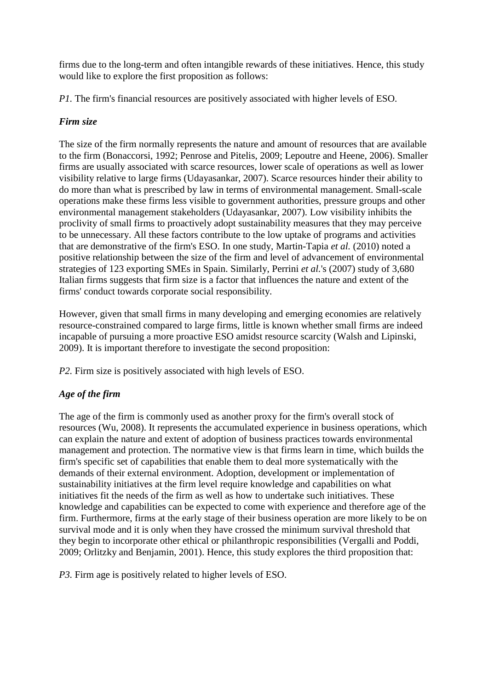firms due to the long-term and often intangible rewards of these initiatives. Hence, this study would like to explore the first proposition as follows:

*P1*. The firm's financial resources are positively associated with higher levels of ESO.

# *Firm size*

The size of the firm normally represents the nature and amount of resources that are available to the firm [\(Bonaccorsi, 1992;](http://www.emeraldinsight.com/journals.htm?issn=1747-1117&volume=8&issue=2&articleid=17036391&show=html#idb15) [Penrose and Pitelis, 2009;](http://www.emeraldinsight.com/journals.htm?issn=1747-1117&volume=8&issue=2&articleid=17036391&show=html#idb64) [Lepoutre and Heene, 2006\)](http://www.emeraldinsight.com/journals.htm?issn=1747-1117&volume=8&issue=2&articleid=17036391&show=html#idb49). Smaller firms are usually associated with scarce resources, lower scale of operations as well as lower visibility relative to large firms [\(Udayasankar, 2007\)](http://www.emeraldinsight.com/journals.htm?issn=1747-1117&volume=8&issue=2&articleid=17036391&show=html#idb76). Scarce resources hinder their ability to do more than what is prescribed by law in terms of environmental management. Small-scale operations make these firms less visible to government authorities, pressure groups and other environmental management stakeholders [\(Udayasankar, 2007\)](http://www.emeraldinsight.com/journals.htm?issn=1747-1117&volume=8&issue=2&articleid=17036391&show=html#idb76). Low visibility inhibits the proclivity of small firms to proactively adopt sustainability measures that they may perceive to be unnecessary. All these factors contribute to the low uptake of programs and activities that are demonstrative of the firm's ESO. In one study, [Martin-Tapia](http://www.emeraldinsight.com/journals.htm?issn=1747-1117&volume=8&issue=2&articleid=17036391&show=html#idb54) *et al.* (2010) noted a positive relationship between the size of the firm and level of advancement of environmental strategies of 123 exporting SMEs in Spain. Similarly, Perrini *et al.*['s \(2007\)](http://www.emeraldinsight.com/journals.htm?issn=1747-1117&volume=8&issue=2&articleid=17036391&show=html#idb65) study of 3,680 Italian firms suggests that firm size is a factor that influences the nature and extent of the firms' conduct towards corporate social responsibility.

However, given that small firms in many developing and emerging economies are relatively resource-constrained compared to large firms, little is known whether small firms are indeed incapable of pursuing a more proactive ESO amidst resource scarcity [\(Walsh and Lipinski,](http://www.emeraldinsight.com/journals.htm?issn=1747-1117&volume=8&issue=2&articleid=17036391&show=html#idb82)  [2009\)](http://www.emeraldinsight.com/journals.htm?issn=1747-1117&volume=8&issue=2&articleid=17036391&show=html#idb82). It is important therefore to investigate the second proposition:

*P2.* Firm size is positively associated with high levels of ESO.

# *Age of the firm*

The age of the firm is commonly used as another proxy for the firm's overall stock of resources [\(Wu, 2008\)](http://www.emeraldinsight.com/journals.htm?issn=1747-1117&volume=8&issue=2&articleid=17036391&show=html#idb84). It represents the accumulated experience in business operations, which can explain the nature and extent of adoption of business practices towards environmental management and protection. The normative view is that firms learn in time, which builds the firm's specific set of capabilities that enable them to deal more systematically with the demands of their external environment. Adoption, development or implementation of sustainability initiatives at the firm level require knowledge and capabilities on what initiatives fit the needs of the firm as well as how to undertake such initiatives. These knowledge and capabilities can be expected to come with experience and therefore age of the firm. Furthermore, firms at the early stage of their business operation are more likely to be on survival mode and it is only when they have crossed the minimum survival threshold that they begin to incorporate other ethical or philanthropic responsibilities [\(Vergalli and Poddi,](http://www.emeraldinsight.com/journals.htm?issn=1747-1117&volume=8&issue=2&articleid=17036391&show=html#idb80)  [2009;](http://www.emeraldinsight.com/journals.htm?issn=1747-1117&volume=8&issue=2&articleid=17036391&show=html#idb80) [Orlitzky and Benjamin, 2001\)](http://www.emeraldinsight.com/journals.htm?issn=1747-1117&volume=8&issue=2&articleid=17036391&show=html#idb61). Hence, this study explores the third proposition that:

*P3.* Firm age is positively related to higher levels of ESO.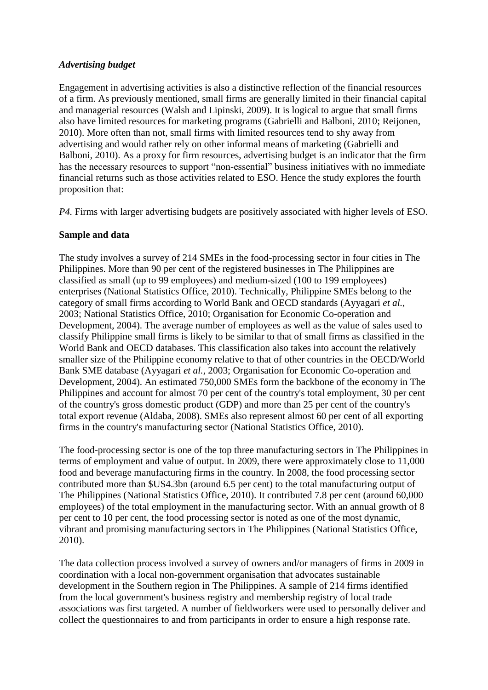#### *Advertising budget*

Engagement in advertising activities is also a distinctive reflection of the financial resources of a firm. As previously mentioned, small firms are generally limited in their financial capital and managerial resources [\(Walsh and Lipinski, 2009\)](http://www.emeraldinsight.com/journals.htm?issn=1747-1117&volume=8&issue=2&articleid=17036391&show=html#idb82). It is logical to argue that small firms also have limited resources for marketing programs [\(Gabrielli and Balboni, 2010;](http://www.emeraldinsight.com/journals.htm?issn=1747-1117&volume=8&issue=2&articleid=17036391&show=html#idb32) [Reijonen,](http://www.emeraldinsight.com/journals.htm?issn=1747-1117&volume=8&issue=2&articleid=17036391&show=html#idb67)  [2010\)](http://www.emeraldinsight.com/journals.htm?issn=1747-1117&volume=8&issue=2&articleid=17036391&show=html#idb67). More often than not, small firms with limited resources tend to shy away from advertising and would rather rely on other informal means of marketing [\(Gabrielli and](http://www.emeraldinsight.com/journals.htm?issn=1747-1117&volume=8&issue=2&articleid=17036391&show=html#idb32)  [Balboni, 2010\)](http://www.emeraldinsight.com/journals.htm?issn=1747-1117&volume=8&issue=2&articleid=17036391&show=html#idb32). As a proxy for firm resources, advertising budget is an indicator that the firm has the necessary resources to support "non-essential" business initiatives with no immediate financial returns such as those activities related to ESO. Hence the study explores the fourth proposition that:

*P4.* Firms with larger advertising budgets are positively associated with higher levels of ESO.

#### **Sample and data**

The study involves a survey of 214 SMEs in the food-processing sector in four cities in The Philippines. More than 90 per cent of the registered businesses in The Philippines are classified as small (up to 99 employees) and medium-sized (100 to 199 employees) enterprises [\(National Statistics Office, 2010\)](http://www.emeraldinsight.com/journals.htm?issn=1747-1117&volume=8&issue=2&articleid=17036391&show=html#idb57). Technically, Philippine SMEs belong to the category of small firms according to World Bank and OECD standards [\(Ayyagari](http://www.emeraldinsight.com/journals.htm?issn=1747-1117&volume=8&issue=2&articleid=17036391&show=html#idb8) *et al.*, [2003;](http://www.emeraldinsight.com/journals.htm?issn=1747-1117&volume=8&issue=2&articleid=17036391&show=html#idb8) [National Statistics Office, 2010;](http://www.emeraldinsight.com/journals.htm?issn=1747-1117&volume=8&issue=2&articleid=17036391&show=html#idb57) [Organisation for Economic Co-operation and](http://www.emeraldinsight.com/journals.htm?issn=1747-1117&volume=8&issue=2&articleid=17036391&show=html#idb58)  [Development, 2004\)](http://www.emeraldinsight.com/journals.htm?issn=1747-1117&volume=8&issue=2&articleid=17036391&show=html#idb58). The average number of employees as well as the value of sales used to classify Philippine small firms is likely to be similar to that of small firms as classified in the World Bank and OECD databases. This classification also takes into account the relatively smaller size of the Philippine economy relative to that of other countries in the OECD/World Bank SME database [\(Ayyagari](http://www.emeraldinsight.com/journals.htm?issn=1747-1117&volume=8&issue=2&articleid=17036391&show=html#idb8) *et al.*, 2003; [Organisation for Economic Co-operation and](http://www.emeraldinsight.com/journals.htm?issn=1747-1117&volume=8&issue=2&articleid=17036391&show=html#idb58)  [Development, 2004\)](http://www.emeraldinsight.com/journals.htm?issn=1747-1117&volume=8&issue=2&articleid=17036391&show=html#idb58). An estimated 750,000 SMEs form the backbone of the economy in The Philippines and account for almost 70 per cent of the country's total employment, 30 per cent of the country's gross domestic product (GDP) and more than 25 per cent of the country's total export revenue [\(Aldaba, 2008\)](http://www.emeraldinsight.com/journals.htm?issn=1747-1117&volume=8&issue=2&articleid=17036391&show=html#idb4). SMEs also represent almost 60 per cent of all exporting firms in the country's manufacturing sector [\(National Statistics Office, 2010\)](http://www.emeraldinsight.com/journals.htm?issn=1747-1117&volume=8&issue=2&articleid=17036391&show=html#idb57).

The food-processing sector is one of the top three manufacturing sectors in The Philippines in terms of employment and value of output. In 2009, there were approximately close to 11,000 food and beverage manufacturing firms in the country. In 2008, the food processing sector contributed more than \$US4.3bn (around 6.5 per cent) to the total manufacturing output of The Philippines [\(National Statistics Office, 2010\)](http://www.emeraldinsight.com/journals.htm?issn=1747-1117&volume=8&issue=2&articleid=17036391&show=html#idb57). It contributed 7.8 per cent (around 60,000 employees) of the total employment in the manufacturing sector. With an annual growth of 8 per cent to 10 per cent, the food processing sector is noted as one of the most dynamic, vibrant and promising manufacturing sectors in The Philippines [\(National Statistics Office,](http://www.emeraldinsight.com/journals.htm?issn=1747-1117&volume=8&issue=2&articleid=17036391&show=html#idb57)  [2010\)](http://www.emeraldinsight.com/journals.htm?issn=1747-1117&volume=8&issue=2&articleid=17036391&show=html#idb57).

The data collection process involved a survey of owners and/or managers of firms in 2009 in coordination with a local non-government organisation that advocates sustainable development in the Southern region in The Philippines. A sample of 214 firms identified from the local government's business registry and membership registry of local trade associations was first targeted. A number of fieldworkers were used to personally deliver and collect the questionnaires to and from participants in order to ensure a high response rate.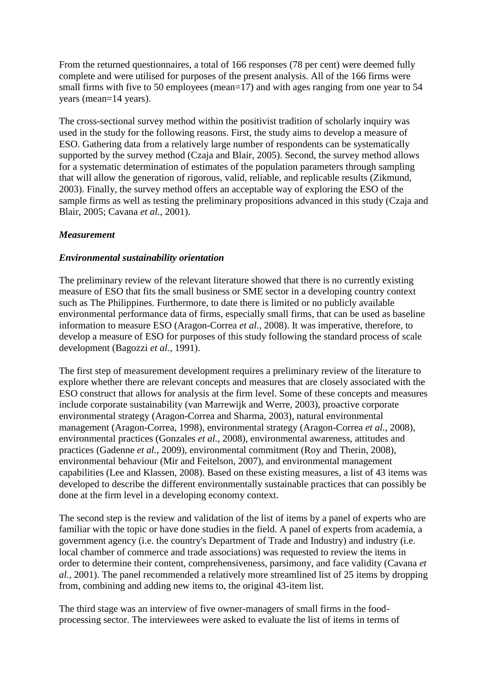From the returned questionnaires, a total of 166 responses (78 per cent) were deemed fully complete and were utilised for purposes of the present analysis. All of the 166 firms were small firms with five to 50 employees (mean=17) and with ages ranging from one year to 54 years (mean=14 years).

The cross-sectional survey method within the positivist tradition of scholarly inquiry was used in the study for the following reasons. First, the study aims to develop a measure of ESO. Gathering data from a relatively large number of respondents can be systematically supported by the survey method [\(Czaja and Blair, 2005\)](http://www.emeraldinsight.com/journals.htm?issn=1747-1117&volume=8&issue=2&articleid=17036391&show=html#idb24). Second, the survey method allows for a systematic determination of estimates of the population parameters through sampling that will allow the generation of rigorous, valid, reliable, and replicable results [\(Zikmund,](http://www.emeraldinsight.com/journals.htm?issn=1747-1117&volume=8&issue=2&articleid=17036391&show=html#idb85)  [2003\)](http://www.emeraldinsight.com/journals.htm?issn=1747-1117&volume=8&issue=2&articleid=17036391&show=html#idb85). Finally, the survey method offers an acceptable way of exploring the ESO of the sample firms as well as testing the preliminary propositions advanced in this study [\(Czaja and](http://www.emeraldinsight.com/journals.htm?issn=1747-1117&volume=8&issue=2&articleid=17036391&show=html#idb24)  [Blair, 2005;](http://www.emeraldinsight.com/journals.htm?issn=1747-1117&volume=8&issue=2&articleid=17036391&show=html#idb24) [Cavana](http://www.emeraldinsight.com/journals.htm?issn=1747-1117&volume=8&issue=2&articleid=17036391&show=html#idb22) *et al.*, 2001).

#### *Measurement*

#### *Environmental sustainability orientation*

The preliminary review of the relevant literature showed that there is no currently existing measure of ESO that fits the small business or SME sector in a developing country context such as The Philippines. Furthermore, to date there is limited or no publicly available environmental performance data of firms, especially small firms, that can be used as baseline information to measure ESO [\(Aragon-Correa](http://www.emeraldinsight.com/journals.htm?issn=1747-1117&volume=8&issue=2&articleid=17036391&show=html#idb5) *et al.*, 2008). It was imperative, therefore, to develop a measure of ESO for purposes of this study following the standard process of scale development [\(Bagozzi](http://www.emeraldinsight.com/journals.htm?issn=1747-1117&volume=8&issue=2&articleid=17036391&show=html#idb10) *et al.*, 1991).

The first step of measurement development requires a preliminary review of the literature to explore whether there are relevant concepts and measures that are closely associated with the ESO construct that allows for analysis at the firm level. Some of these concepts and measures include corporate sustainability [\(van Marrewijk and Werre, 2003\)](http://www.emeraldinsight.com/journals.htm?issn=1747-1117&volume=8&issue=2&articleid=17036391&show=html#idb79), proactive corporate environmental strategy [\(Aragon-Correa and Sharma, 2003\)](http://www.emeraldinsight.com/journals.htm?issn=1747-1117&volume=8&issue=2&articleid=17036391&show=html#idb6), natural environmental management (Aragon-Correa, 1998), environmental strategy [\(Aragon-Correa](http://www.emeraldinsight.com/journals.htm?issn=1747-1117&volume=8&issue=2&articleid=17036391&show=html#idb5) *et al.*, 2008), environmental practices [\(Gonzales](http://www.emeraldinsight.com/journals.htm?issn=1747-1117&volume=8&issue=2&articleid=17036391&show=html#idb35) *et al.*, 2008), environmental awareness, attitudes and practices [\(Gadenne](http://www.emeraldinsight.com/journals.htm?issn=1747-1117&volume=8&issue=2&articleid=17036391&show=html#idb33) *et al.*, 2009), environmental commitment [\(Roy and Therin, 2008\)](http://www.emeraldinsight.com/journals.htm?issn=1747-1117&volume=8&issue=2&articleid=17036391&show=html#idb70), environmental behaviour [\(Mir and Feitelson, 2007\)](http://www.emeraldinsight.com/journals.htm?issn=1747-1117&volume=8&issue=2&articleid=17036391&show=html#idb56), and environmental management capabilities [\(Lee and Klassen, 2008\)](http://www.emeraldinsight.com/journals.htm?issn=1747-1117&volume=8&issue=2&articleid=17036391&show=html#idb48). Based on these existing measures, a list of 43 items was developed to describe the different environmentally sustainable practices that can possibly be done at the firm level in a developing economy context.

The second step is the review and validation of the list of items by a panel of experts who are familiar with the topic or have done studies in the field. A panel of experts from academia, a government agency (i.e. the country's Department of Trade and Industry) and industry (i.e. local chamber of commerce and trade associations) was requested to review the items in order to determine their content, comprehensiveness, parsimony, and face validity [\(Cavana](http://www.emeraldinsight.com/journals.htm?issn=1747-1117&volume=8&issue=2&articleid=17036391&show=html#idb22) *et al.*[, 2001\)](http://www.emeraldinsight.com/journals.htm?issn=1747-1117&volume=8&issue=2&articleid=17036391&show=html#idb22). The panel recommended a relatively more streamlined list of 25 items by dropping from, combining and adding new items to, the original 43-item list.

The third stage was an interview of five owner-managers of small firms in the foodprocessing sector. The interviewees were asked to evaluate the list of items in terms of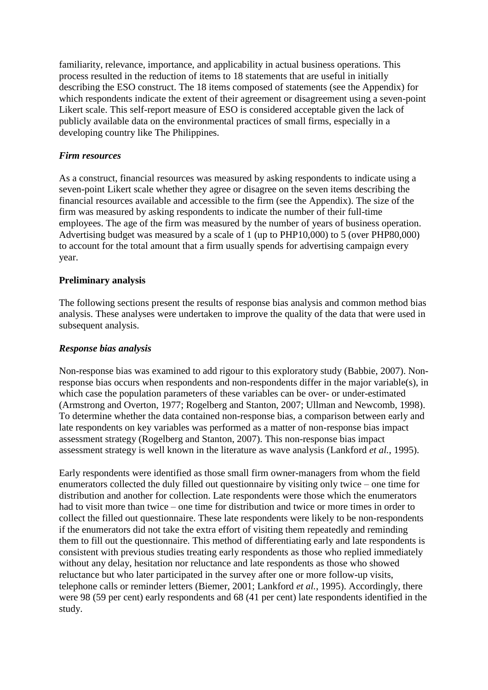familiarity, relevance, importance, and applicability in actual business operations. This process resulted in the reduction of items to 18 statements that are useful in initially describing the ESO construct. The 18 items composed of statements (see the Appendix) for which respondents indicate the extent of their agreement or disagreement using a seven-point Likert scale. This self-report measure of ESO is considered acceptable given the lack of publicly available data on the environmental practices of small firms, especially in a developing country like The Philippines.

#### *Firm resources*

As a construct, financial resources was measured by asking respondents to indicate using a seven-point Likert scale whether they agree or disagree on the seven items describing the financial resources available and accessible to the firm (see the Appendix). The size of the firm was measured by asking respondents to indicate the number of their full-time employees. The age of the firm was measured by the number of years of business operation. Advertising budget was measured by a scale of 1 (up to PHP10,000) to 5 (over PHP80,000) to account for the total amount that a firm usually spends for advertising campaign every year.

#### **Preliminary analysis**

The following sections present the results of response bias analysis and common method bias analysis. These analyses were undertaken to improve the quality of the data that were used in subsequent analysis.

#### *Response bias analysis*

Non-response bias was examined to add rigour to this exploratory study [\(Babbie, 2007\)](http://www.emeraldinsight.com/journals.htm?issn=1747-1117&volume=8&issue=2&articleid=17036391&show=html#idb9). Nonresponse bias occurs when respondents and non-respondents differ in the major variable(s), in which case the population parameters of these variables can be over- or under-estimated [\(Armstrong and Overton, 1977;](http://www.emeraldinsight.com/journals.htm?issn=1747-1117&volume=8&issue=2&articleid=17036391&show=html#idb7) [Rogelberg and Stanton, 2007;](http://www.emeraldinsight.com/journals.htm?issn=1747-1117&volume=8&issue=2&articleid=17036391&show=html#idb68) [Ullman and Newcomb, 1998\)](http://www.emeraldinsight.com/journals.htm?issn=1747-1117&volume=8&issue=2&articleid=17036391&show=html#idb77). To determine whether the data contained non-response bias, a comparison between early and late respondents on key variables was performed as a matter of non-response bias impact assessment strategy [\(Rogelberg and Stanton, 2007\)](http://www.emeraldinsight.com/journals.htm?issn=1747-1117&volume=8&issue=2&articleid=17036391&show=html#idb68). This non-response bias impact assessment strategy is well known in the literature as wave analysis [\(Lankford](http://www.emeraldinsight.com/journals.htm?issn=1747-1117&volume=8&issue=2&articleid=17036391&show=html#idb47) *et al.*, 1995).

Early respondents were identified as those small firm owner-managers from whom the field enumerators collected the duly filled out questionnaire by visiting only twice – one time for distribution and another for collection. Late respondents were those which the enumerators had to visit more than twice – one time for distribution and twice or more times in order to collect the filled out questionnaire. These late respondents were likely to be non-respondents if the enumerators did not take the extra effort of visiting them repeatedly and reminding them to fill out the questionnaire. This method of differentiating early and late respondents is consistent with previous studies treating early respondents as those who replied immediately without any delay, hesitation nor reluctance and late respondents as those who showed reluctance but who later participated in the survey after one or more follow-up visits, telephone calls or reminder letters [\(Biemer, 2001;](http://www.emeraldinsight.com/journals.htm?issn=1747-1117&volume=8&issue=2&articleid=17036391&show=html#idb13) [Lankford](http://www.emeraldinsight.com/journals.htm?issn=1747-1117&volume=8&issue=2&articleid=17036391&show=html#idb47) *et al.*, 1995). Accordingly, there were 98 (59 per cent) early respondents and 68 (41 per cent) late respondents identified in the study.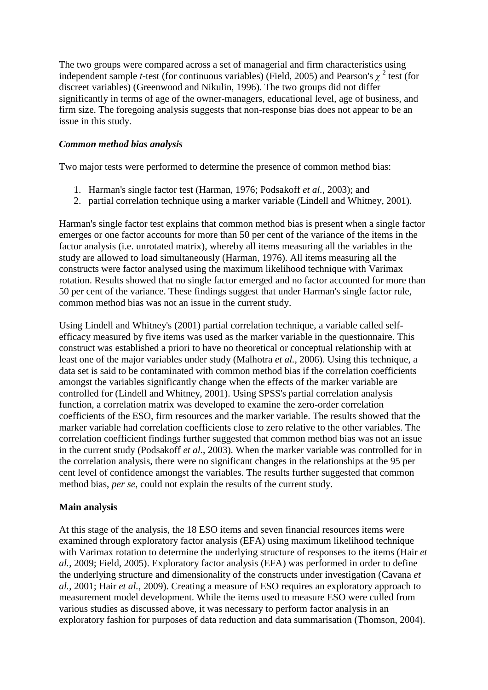The two groups were compared across a set of managerial and firm characteristics using independent sample *t*-test (for continuous variables) [\(Field, 2005\)](http://www.emeraldinsight.com/journals.htm?issn=1747-1117&volume=8&issue=2&articleid=17036391&show=html#idb30) and Pearson's  $\chi^2$  test (for discreet variables) [\(Greenwood and Nikulin, 1996\)](http://www.emeraldinsight.com/journals.htm?issn=1747-1117&volume=8&issue=2&articleid=17036391&show=html#idb37). The two groups did not differ significantly in terms of age of the owner-managers, educational level, age of business, and firm size. The foregoing analysis suggests that non-response bias does not appear to be an issue in this study.

#### *Common method bias analysis*

Two major tests were performed to determine the presence of common method bias:

- 1. Harman's single factor test [\(Harman, 1976;](http://www.emeraldinsight.com/journals.htm?issn=1747-1117&volume=8&issue=2&articleid=17036391&show=html#idb42) [Podsakoff](http://www.emeraldinsight.com/journals.htm?issn=1747-1117&volume=8&issue=2&articleid=17036391&show=html#idb66) *et al.*, 2003); and
- 2. partial correlation technique using a marker variable [\(Lindell and Whitney, 2001\)](http://www.emeraldinsight.com/journals.htm?issn=1747-1117&volume=8&issue=2&articleid=17036391&show=html#idb50).

Harman's single factor test explains that common method bias is present when a single factor emerges or one factor accounts for more than 50 per cent of the variance of the items in the factor analysis (i.e. unrotated matrix), whereby all items measuring all the variables in the study are allowed to load simultaneously [\(Harman, 1976\)](http://www.emeraldinsight.com/journals.htm?issn=1747-1117&volume=8&issue=2&articleid=17036391&show=html#idb42). All items measuring all the constructs were factor analysed using the maximum likelihood technique with Varimax rotation. Results showed that no single factor emerged and no factor accounted for more than 50 per cent of the variance. These findings suggest that under Harman's single factor rule, common method bias was not an issue in the current study.

Using [Lindell and Whitney's \(2001\)](http://www.emeraldinsight.com/journals.htm?issn=1747-1117&volume=8&issue=2&articleid=17036391&show=html#idb50) partial correlation technique, a variable called selfefficacy measured by five items was used as the marker variable in the questionnaire. This construct was established a priori to have no theoretical or conceptual relationship with at least one of the major variables under study [\(Malhotra](http://www.emeraldinsight.com/journals.htm?issn=1747-1117&volume=8&issue=2&articleid=17036391&show=html#idb53) *et al.*, 2006). Using this technique, a data set is said to be contaminated with common method bias if the correlation coefficients amongst the variables significantly change when the effects of the marker variable are controlled for [\(Lindell and Whitney, 2001\)](http://www.emeraldinsight.com/journals.htm?issn=1747-1117&volume=8&issue=2&articleid=17036391&show=html#idb50). Using SPSS's partial correlation analysis function, a correlation matrix was developed to examine the zero-order correlation coefficients of the ESO, firm resources and the marker variable. The results showed that the marker variable had correlation coefficients close to zero relative to the other variables. The correlation coefficient findings further suggested that common method bias was not an issue in the current study [\(Podsakoff](http://www.emeraldinsight.com/journals.htm?issn=1747-1117&volume=8&issue=2&articleid=17036391&show=html#idb66) *et al.*, 2003). When the marker variable was controlled for in the correlation analysis, there were no significant changes in the relationships at the 95 per cent level of confidence amongst the variables. The results further suggested that common method bias, *per se*, could not explain the results of the current study.

#### **Main analysis**

At this stage of the analysis, the 18 ESO items and seven financial resources items were examined through exploratory factor analysis (EFA) using maximum likelihood technique with Varimax rotation to determine the underlying structure of responses to the items [\(Hair](http://www.emeraldinsight.com/journals.htm?issn=1747-1117&volume=8&issue=2&articleid=17036391&show=html#idb40) *et al.*[, 2009;](http://www.emeraldinsight.com/journals.htm?issn=1747-1117&volume=8&issue=2&articleid=17036391&show=html#idb40) [Field, 2005\)](http://www.emeraldinsight.com/journals.htm?issn=1747-1117&volume=8&issue=2&articleid=17036391&show=html#idb30). Exploratory factor analysis (EFA) was performed in order to define the underlying structure and dimensionality of the constructs under investigation [\(Cavana](http://www.emeraldinsight.com/journals.htm?issn=1747-1117&volume=8&issue=2&articleid=17036391&show=html#idb22) *et al.*, [2001;](http://www.emeraldinsight.com/journals.htm?issn=1747-1117&volume=8&issue=2&articleid=17036391&show=html#idb22) Hair *et al.*[, 2009\)](http://www.emeraldinsight.com/journals.htm?issn=1747-1117&volume=8&issue=2&articleid=17036391&show=html#idb40). Creating a measure of ESO requires an exploratory approach to measurement model development. While the items used to measure ESO were culled from various studies as discussed above, it was necessary to perform factor analysis in an exploratory fashion for purposes of data reduction and data summarisation [\(Thomson, 2004\)](http://www.emeraldinsight.com/journals.htm?issn=1747-1117&volume=8&issue=2&articleid=17036391&show=html#idb74).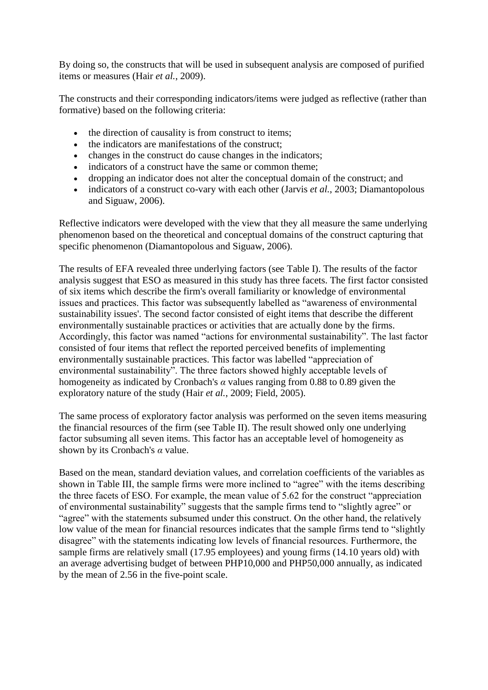By doing so, the constructs that will be used in subsequent analysis are composed of purified items or measures (Hair *et al.*[, 2009\)](http://www.emeraldinsight.com/journals.htm?issn=1747-1117&volume=8&issue=2&articleid=17036391&show=html#idb40).

The constructs and their corresponding indicators/items were judged as reflective (rather than formative) based on the following criteria:

- the direction of causality is from construct to items:
- the indicators are manifestations of the construct;
- changes in the construct do cause changes in the indicators;
- indicators of a construct have the same or common theme:
- dropping an indicator does not alter the conceptual domain of the construct; and
- indicators of a construct co-vary with each other [\(Jarvis](http://www.emeraldinsight.com/journals.htm?issn=1747-1117&volume=8&issue=2&articleid=17036391&show=html#idb39) *et al.*, 2003; Diamantopolous [and Siguaw, 2006\)](http://www.emeraldinsight.com/journals.htm?issn=1747-1117&volume=8&issue=2&articleid=17036391&show=html#idb27).

Reflective indicators were developed with the view that they all measure the same underlying phenomenon based on the theoretical and conceptual domains of the construct capturing that specific phenomenon [\(Diamantopolous and Siguaw, 2006\)](http://www.emeraldinsight.com/journals.htm?issn=1747-1117&volume=8&issue=2&articleid=17036391&show=html#idb27).

The results of EFA revealed three underlying factors (see [Table I\)](http://www.emeraldinsight.com/journals.htm?issn=1747-1117&volume=8&issue=2&articleid=17036391&show=html#id3680080205001.png). The results of the factor analysis suggest that ESO as measured in this study has three facets. The first factor consisted of six items which describe the firm's overall familiarity or knowledge of environmental issues and practices. This factor was subsequently labelled as "awareness of environmental sustainability issues'. The second factor consisted of eight items that describe the different environmentally sustainable practices or activities that are actually done by the firms. Accordingly, this factor was named "actions for environmental sustainability". The last factor consisted of four items that reflect the reported perceived benefits of implementing environmentally sustainable practices. This factor was labelled "appreciation of environmental sustainability". The three factors showed highly acceptable levels of homogeneity as indicated by Cronbach's *α* values ranging from 0.88 to 0.89 given the exploratory nature of the study (Hair *et al.*[, 2009;](http://www.emeraldinsight.com/journals.htm?issn=1747-1117&volume=8&issue=2&articleid=17036391&show=html#idb40) [Field, 2005\)](http://www.emeraldinsight.com/journals.htm?issn=1747-1117&volume=8&issue=2&articleid=17036391&show=html#idb30).

The same process of exploratory factor analysis was performed on the seven items measuring the financial resources of the firm (see [Table II\)](http://www.emeraldinsight.com/journals.htm?issn=1747-1117&volume=8&issue=2&articleid=17036391&show=html#id3680080205002.png). The result showed only one underlying factor subsuming all seven items. This factor has an acceptable level of homogeneity as shown by its Cronbach's *α* value.

Based on the mean, standard deviation values, and correlation coefficients of the variables as shown in [Table III,](http://www.emeraldinsight.com/journals.htm?issn=1747-1117&volume=8&issue=2&articleid=17036391&show=html#id3680080205003.png) the sample firms were more inclined to "agree" with the items describing the three facets of ESO. For example, the mean value of 5.62 for the construct "appreciation of environmental sustainability" suggests that the sample firms tend to "slightly agree" or "agree" with the statements subsumed under this construct. On the other hand, the relatively low value of the mean for financial resources indicates that the sample firms tend to "slightly disagree" with the statements indicating low levels of financial resources. Furthermore, the sample firms are relatively small (17.95 employees) and young firms (14.10 years old) with an average advertising budget of between PHP10,000 and PHP50,000 annually, as indicated by the mean of 2.56 in the five-point scale.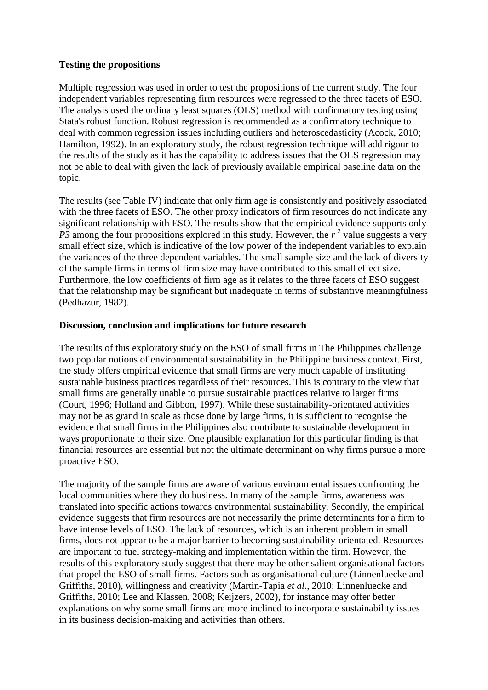#### **Testing the propositions**

Multiple regression was used in order to test the propositions of the current study. The four independent variables representing firm resources were regressed to the three facets of ESO. The analysis used the ordinary least squares (OLS) method with confirmatory testing using Stata's robust function. Robust regression is recommended as a confirmatory technique to deal with common regression issues including outliers and heteroscedasticity [\(Acock, 2010;](http://www.emeraldinsight.com/journals.htm?issn=1747-1117&volume=8&issue=2&articleid=17036391&show=html#idb1) [Hamilton, 1992\)](http://www.emeraldinsight.com/journals.htm?issn=1747-1117&volume=8&issue=2&articleid=17036391&show=html#idb41). In an exploratory study, the robust regression technique will add rigour to the results of the study as it has the capability to address issues that the OLS regression may not be able to deal with given the lack of previously available empirical baseline data on the topic.

The results (see [Table IV\)](http://www.emeraldinsight.com/journals.htm?issn=1747-1117&volume=8&issue=2&articleid=17036391&show=html#id3680080205004.png) indicate that only firm age is consistently and positively associated with the three facets of ESO. The other proxy indicators of firm resources do not indicate any significant relationship with ESO. The results show that the empirical evidence supports only  $P_1$ <sup>2</sup> among the four propositions explored in this study. However, the  $r^2$  value suggests a very small effect size, which is indicative of the low power of the independent variables to explain the variances of the three dependent variables. The small sample size and the lack of diversity of the sample firms in terms of firm size may have contributed to this small effect size. Furthermore, the low coefficients of firm age as it relates to the three facets of ESO suggest that the relationship may be significant but inadequate in terms of substantive meaningfulness [\(Pedhazur, 1982\)](http://www.emeraldinsight.com/journals.htm?issn=1747-1117&volume=8&issue=2&articleid=17036391&show=html#idb63).

#### **Discussion, conclusion and implications for future research**

The results of this exploratory study on the ESO of small firms in The Philippines challenge two popular notions of environmental sustainability in the Philippine business context. First, the study offers empirical evidence that small firms are very much capable of instituting sustainable business practices regardless of their resources. This is contrary to the view that small firms are generally unable to pursue sustainable practices relative to larger firms [\(Court, 1996;](http://www.emeraldinsight.com/journals.htm?issn=1747-1117&volume=8&issue=2&articleid=17036391&show=html#idb23) [Holland and Gibbon, 1997\)](http://www.emeraldinsight.com/journals.htm?issn=1747-1117&volume=8&issue=2&articleid=17036391&show=html#idb43). While these sustainability-orientated activities may not be as grand in scale as those done by large firms, it is sufficient to recognise the evidence that small firms in the Philippines also contribute to sustainable development in ways proportionate to their size. One plausible explanation for this particular finding is that financial resources are essential but not the ultimate determinant on why firms pursue a more proactive ESO.

The majority of the sample firms are aware of various environmental issues confronting the local communities where they do business. In many of the sample firms, awareness was translated into specific actions towards environmental sustainability. Secondly, the empirical evidence suggests that firm resources are not necessarily the prime determinants for a firm to have intense levels of ESO. The lack of resources, which is an inherent problem in small firms, does not appear to be a major barrier to becoming sustainability-orientated. Resources are important to fuel strategy-making and implementation within the firm. However, the results of this exploratory study suggest that there may be other salient organisational factors that propel the ESO of small firms. Factors such as organisational culture [\(Linnenluecke and](http://www.emeraldinsight.com/journals.htm?issn=1747-1117&volume=8&issue=2&articleid=17036391&show=html#idb51)  [Griffiths, 2010\)](http://www.emeraldinsight.com/journals.htm?issn=1747-1117&volume=8&issue=2&articleid=17036391&show=html#idb51), willingness and creativity [\(Martin-Tapia](http://www.emeraldinsight.com/journals.htm?issn=1747-1117&volume=8&issue=2&articleid=17036391&show=html#idb54) *et al.*, 2010; [Linnenluecke and](http://www.emeraldinsight.com/journals.htm?issn=1747-1117&volume=8&issue=2&articleid=17036391&show=html#idb51)  [Griffiths, 2010;](http://www.emeraldinsight.com/journals.htm?issn=1747-1117&volume=8&issue=2&articleid=17036391&show=html#idb51) [Lee and Klassen, 2008;](http://www.emeraldinsight.com/journals.htm?issn=1747-1117&volume=8&issue=2&articleid=17036391&show=html#idb48) [Keijzers, 2002\)](http://www.emeraldinsight.com/journals.htm?issn=1747-1117&volume=8&issue=2&articleid=17036391&show=html#idb44), for instance may offer better explanations on why some small firms are more inclined to incorporate sustainability issues in its business decision-making and activities than others.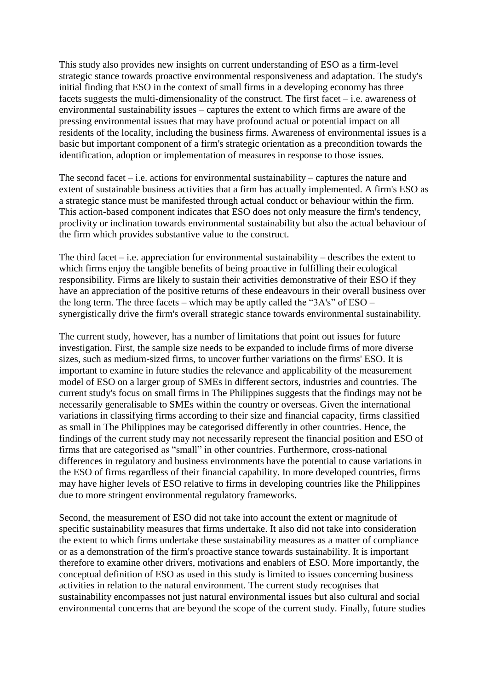This study also provides new insights on current understanding of ESO as a firm-level strategic stance towards proactive environmental responsiveness and adaptation. The study's initial finding that ESO in the context of small firms in a developing economy has three facets suggests the multi-dimensionality of the construct. The first facet – i.e. awareness of environmental sustainability issues – captures the extent to which firms are aware of the pressing environmental issues that may have profound actual or potential impact on all residents of the locality, including the business firms. Awareness of environmental issues is a basic but important component of a firm's strategic orientation as a precondition towards the identification, adoption or implementation of measures in response to those issues.

The second facet – i.e. actions for environmental sustainability – captures the nature and extent of sustainable business activities that a firm has actually implemented. A firm's ESO as a strategic stance must be manifested through actual conduct or behaviour within the firm. This action-based component indicates that ESO does not only measure the firm's tendency, proclivity or inclination towards environmental sustainability but also the actual behaviour of the firm which provides substantive value to the construct.

The third facet – i.e. appreciation for environmental sustainability – describes the extent to which firms enjoy the tangible benefits of being proactive in fulfilling their ecological responsibility. Firms are likely to sustain their activities demonstrative of their ESO if they have an appreciation of the positive returns of these endeavours in their overall business over the long term. The three facets – which may be aptly called the "3A's" of ESO – synergistically drive the firm's overall strategic stance towards environmental sustainability.

The current study, however, has a number of limitations that point out issues for future investigation. First, the sample size needs to be expanded to include firms of more diverse sizes, such as medium-sized firms, to uncover further variations on the firms' ESO. It is important to examine in future studies the relevance and applicability of the measurement model of ESO on a larger group of SMEs in different sectors, industries and countries. The current study's focus on small firms in The Philippines suggests that the findings may not be necessarily generalisable to SMEs within the country or overseas. Given the international variations in classifying firms according to their size and financial capacity, firms classified as small in The Philippines may be categorised differently in other countries. Hence, the findings of the current study may not necessarily represent the financial position and ESO of firms that are categorised as "small" in other countries. Furthermore, cross-national differences in regulatory and business environments have the potential to cause variations in the ESO of firms regardless of their financial capability. In more developed countries, firms may have higher levels of ESO relative to firms in developing countries like the Philippines due to more stringent environmental regulatory frameworks.

Second, the measurement of ESO did not take into account the extent or magnitude of specific sustainability measures that firms undertake. It also did not take into consideration the extent to which firms undertake these sustainability measures as a matter of compliance or as a demonstration of the firm's proactive stance towards sustainability. It is important therefore to examine other drivers, motivations and enablers of ESO. More importantly, the conceptual definition of ESO as used in this study is limited to issues concerning business activities in relation to the natural environment. The current study recognises that sustainability encompasses not just natural environmental issues but also cultural and social environmental concerns that are beyond the scope of the current study. Finally, future studies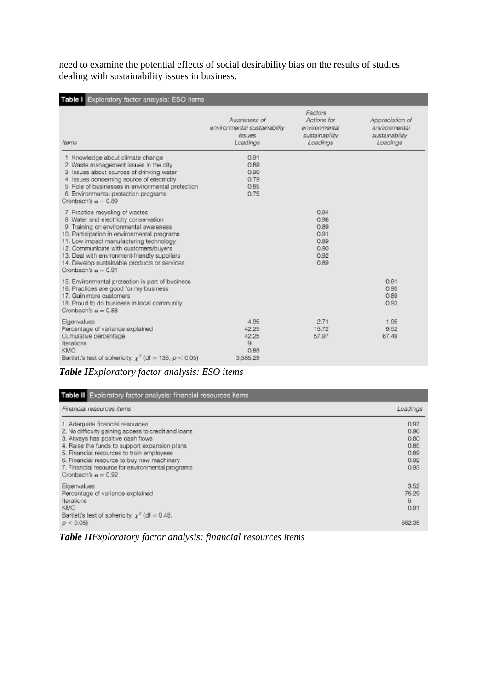need to examine the potential effects of social desirability bias on the results of studies dealing with sustainability issues in business.

| Table I Exploratory factor analysis: ESO items                                                                                                                                                                                                                                                                                                                                      |                                                                    |                                                                       |                                                                |  |  |  |  |
|-------------------------------------------------------------------------------------------------------------------------------------------------------------------------------------------------------------------------------------------------------------------------------------------------------------------------------------------------------------------------------------|--------------------------------------------------------------------|-----------------------------------------------------------------------|----------------------------------------------------------------|--|--|--|--|
| ltems                                                                                                                                                                                                                                                                                                                                                                               | Awareness of<br>environmental sustainability<br>issues<br>Loadings | Factors<br>Actions for<br>environmental<br>sustainability<br>Loadings | Appreciation of<br>environmental<br>sustainability<br>Loadings |  |  |  |  |
| 1. Knowledge about climate change<br>2. Waste management issues in the city<br>3. Issues about sources of drinking water<br>4. Issues concerning source of electricity<br>5. Role of businesses in environmental protection<br>6. Environmental protection programs<br>Cronbach's $\alpha = 0.89$                                                                                   | 0.91<br>0.89<br>0.90<br>0.79<br>0.85<br>0.75                       |                                                                       |                                                                |  |  |  |  |
| 7. Practice recycling of wastes<br>8. Water and electricity conservation<br>9. Training on environmental awareness<br>10. Participation in environmental programs<br>11. Low impact manufacturing technology<br>12. Communicate with customers/buyers<br>13. Deal with environment-friendly suppliers<br>14. Develop sustainable products or services<br>Cronbach's $\alpha = 0.91$ |                                                                    | 0.94<br>0.96<br>0.89<br>0.91<br>0.89<br>0.90<br>0.92<br>0.89          |                                                                |  |  |  |  |
| 15. Environmental protection is part of business<br>16. Practices are good for my business<br>17. Gain more customers<br>18. Proud to do business in local community<br>Cronbach's $\alpha = 0.88$                                                                                                                                                                                  |                                                                    |                                                                       | 0.91<br>0.90<br>0.89<br>0.93                                   |  |  |  |  |
| Eigenvalues<br>Percentage of variance explained<br>Cumulative percentage<br>Iterations<br>KMO<br>Bartlett's test of sphericity, $\chi^2$ (df = 135, p < 0.05)                                                                                                                                                                                                                       | 4.95<br>42.25<br>42.25<br>9<br>0.89<br>3,585.29                    | 2.71<br>15.72<br>57.97                                                | 1.95<br>9.52<br>67.49                                          |  |  |  |  |

#### *Table IExploratory factor analysis: ESO items*

| Table II Exploratory factor analysis: financial resources items                                                                                                                                                                                                                                                                                           |                                                      |
|-----------------------------------------------------------------------------------------------------------------------------------------------------------------------------------------------------------------------------------------------------------------------------------------------------------------------------------------------------------|------------------------------------------------------|
| Financial resources items                                                                                                                                                                                                                                                                                                                                 | Loadings                                             |
| 1. Adequate financial resources<br>2. No difficulty gaining access to credit and loans<br>3. Always has positive cash flows<br>4. Raise the funds to support expansion plans<br>5. Financial resources to train employees<br>6. Financial resource to buy new machinery<br>7. Financial resource for environmental programs<br>Cronbach's $\alpha = 0.92$ | 0.97<br>0.96<br>0.80<br>0.85<br>0.89<br>0.92<br>0.93 |
| Eigenvalues<br>Percentage of variance explained<br>Iterations<br>KMO.<br>Bartlett's test of sphericity, $\chi^2$ (df = 0.48,<br>p < 0.05                                                                                                                                                                                                                  | 3.52<br>75.29<br>5<br>0.91<br>562.35                 |

*Table IIExploratory factor analysis: financial resources items*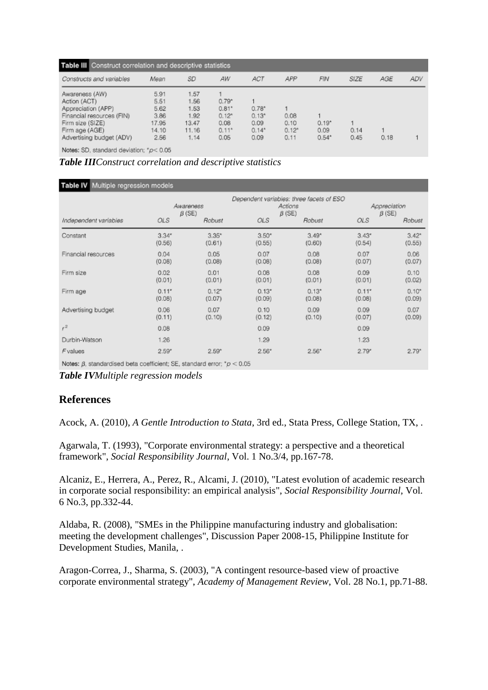| Table III Construct correlation and descriptive statistics |       |           |         |            |         |         |             |      |     |
|------------------------------------------------------------|-------|-----------|---------|------------|---------|---------|-------------|------|-----|
| Constructs and variables                                   | Mean  | <b>SD</b> | AW      | <b>ACT</b> | APP     | FIN     | <b>SIZE</b> | AGE  | ADV |
| Awareness (AW)                                             | 5.91  | 1.57      |         |            |         |         |             |      |     |
| Action (ACT)                                               | 5.51  | .56       | $0.79*$ |            |         |         |             |      |     |
| Appreciation (APP)                                         | 5.62  | 1.53      | $0.81*$ | $0.78*$    |         |         |             |      |     |
| Financial resources (FIN)                                  | 3.86  | 1.92      | $0.12*$ | $0.13*$    | 0.08    |         |             |      |     |
| Firm size (SIZE)                                           | 17.95 | 13.47     | 0.08    | 0.09       | 0.10    | $0.19*$ |             |      |     |
| Firm age (AGE)                                             | 14.10 | 11.16     | $0.11*$ | $0.14*$    | $0.12*$ | 0.09    | 0.14        |      |     |
| Advertising budget (ADV)                                   | 2.56  | 1.14      | 0.05    | 0.09       | 0.11    | $0.54*$ | 0.45        | 0.18 |     |
|                                                            |       |           |         |            |         |         |             |      |     |

Notes: SD, standard deviation; \*p< 0.05

*Table IIIConstruct correlation and descriptive statistics*

| Table IV Multiple regression models                                                     |                                            |         |                                                                            |         |                                        |         |  |  |
|-----------------------------------------------------------------------------------------|--------------------------------------------|---------|----------------------------------------------------------------------------|---------|----------------------------------------|---------|--|--|
| Independent variables                                                                   | Awareness<br>$\beta$ (SE)<br>OLS<br>Robust |         | Dependent variables: three facets of ESO<br>Actions<br>$\beta$ (SE)<br>OLS | OLS     | Appreciation<br>$\beta$ (SE)<br>Robust |         |  |  |
| Constant                                                                                | $3.34*$                                    | $3.35*$ | $3.50*$                                                                    | $3.49*$ | $3.43*$                                | $3.42*$ |  |  |
|                                                                                         | (0.56)                                     | (0.61)  | (0.55)                                                                     | (0.60)  | (0.54)                                 | (0.55)  |  |  |
| Financial resources                                                                     | 0.04                                       | 0.05    | 0.07                                                                       | 0.08    | 0.07                                   | 0.06    |  |  |
|                                                                                         | (0.08)                                     | (0.08)  | (0.08)                                                                     | (0.08)  | (0.07)                                 | (0.07)  |  |  |
| Firm size                                                                               | 0.02                                       | 0.01    | 0.08                                                                       | 0.08    | 0.09                                   | 0.10    |  |  |
|                                                                                         | (0.01)                                     | (0.01)  | (0.01)                                                                     | (0.01)  | (0.01)                                 | (0.02)  |  |  |
| Firm age                                                                                | $0.11*$                                    | $0.12*$ | $0.13*$                                                                    | $0.13*$ | $0.11*$                                | $0.10*$ |  |  |
|                                                                                         | (0.08)                                     | (0.07)  | (0.09)                                                                     | (0.08)  | (0.08)                                 | (0.09)  |  |  |
| Advertising budget                                                                      | 0.06                                       | 0.07    | 0.10                                                                       | 0.09    | 0.09                                   | 0.07    |  |  |
|                                                                                         | (0.11)                                     | (0.10)  | (0.12)                                                                     | (0.10)  | (0.07)                                 | (0.09)  |  |  |
| $r^2$                                                                                   | 0.08                                       |         | 0.09                                                                       |         | 0.09                                   |         |  |  |
| Durbin-Watson                                                                           | 1.26                                       |         | 1.29                                                                       |         | 1.23                                   |         |  |  |
| <b>F</b> values<br>Notes: 8 standardised hets coefficient: SE standard error: "n < 0.05 | 2.59"                                      | 2.59"   | $2.56*$                                                                    | $2.56*$ | $2.79*$                                | $2.79*$ |  |  |

*Table IVMultiple regression models*

# **References**

Acock, A. (2010), *A Gentle Introduction to Stata*, 3rd ed., Stata Press, College Station, TX, .

Agarwala, T. (1993), "Corporate environmental strategy: a perspective and a theoretical framework", *Social Responsibility Journal*, Vol. 1 No.3/4, pp.167-78.

Alcaniz, E., Herrera, A., Perez, R., Alcami, J. (2010), "Latest evolution of academic research in corporate social responsibility: an empirical analysis", *Social Responsibility Journal*, Vol. 6 No.3, pp.332-44.

Aldaba, R. (2008), "SMEs in the Philippine manufacturing industry and globalisation: meeting the development challenges", Discussion Paper 2008-15, Philippine Institute for Development Studies, Manila, .

Aragon-Correa, J., Sharma, S. (2003), "A contingent resource-based view of proactive corporate environmental strategy", *Academy of Management Review*, Vol. 28 No.1, pp.71-88.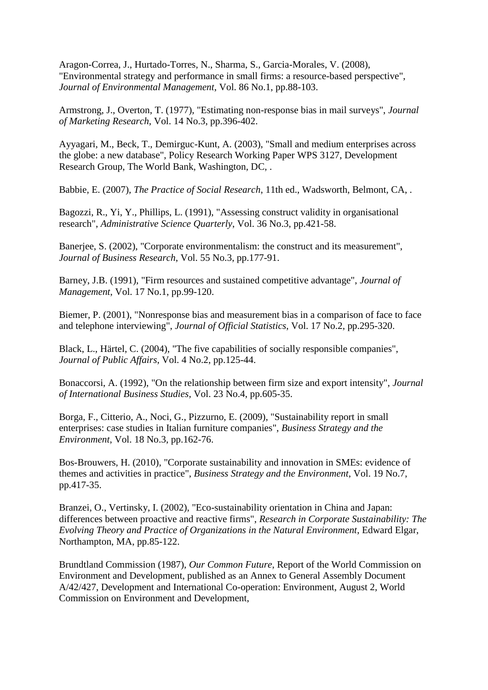Aragon-Correa, J., Hurtado-Torres, N., Sharma, S., Garcia-Morales, V. (2008), "Environmental strategy and performance in small firms: a resource-based perspective", *Journal of Environmental Management*, Vol. 86 No.1, pp.88-103.

Armstrong, J., Overton, T. (1977), "Estimating non-response bias in mail surveys", *Journal of Marketing Research*, Vol. 14 No.3, pp.396-402.

Ayyagari, M., Beck, T., Demirguc-Kunt, A. (2003), "Small and medium enterprises across the globe: a new database", Policy Research Working Paper WPS 3127, Development Research Group, The World Bank, Washington, DC, .

Babbie, E. (2007), *The Practice of Social Research*, 11th ed., Wadsworth, Belmont, CA, .

Bagozzi, R., Yi, Y., Phillips, L. (1991), "Assessing construct validity in organisational research", *Administrative Science Quarterly*, Vol. 36 No.3, pp.421-58.

Banerjee, S. (2002), "Corporate environmentalism: the construct and its measurement", *Journal of Business Research*, Vol. 55 No.3, pp.177-91.

Barney, J.B. (1991), "Firm resources and sustained competitive advantage", *Journal of Management*, Vol. 17 No.1, pp.99-120.

Biemer, P. (2001), "Nonresponse bias and measurement bias in a comparison of face to face and telephone interviewing", *Journal of Official Statistics*, Vol. 17 No.2, pp.295-320.

Black, L., Härtel, C. (2004), "The five capabilities of socially responsible companies", *Journal of Public Affairs*, Vol. 4 No.2, pp.125-44.

Bonaccorsi, A. (1992), "On the relationship between firm size and export intensity", *Journal of International Business Studies*, Vol. 23 No.4, pp.605-35.

Borga, F., Citterio, A., Noci, G., Pizzurno, E. (2009), "Sustainability report in small enterprises: case studies in Italian furniture companies", *Business Strategy and the Environment*, Vol. 18 No.3, pp.162-76.

Bos-Brouwers, H. (2010), "Corporate sustainability and innovation in SMEs: evidence of themes and activities in practice", *Business Strategy and the Environment*, Vol. 19 No.7, pp.417-35.

Branzei, O., Vertinsky, I. (2002), "Eco-sustainability orientation in China and Japan: differences between proactive and reactive firms", *Research in Corporate Sustainability: The Evolving Theory and Practice of Organizations in the Natural Environment*, Edward Elgar, Northampton, MA, pp.85-122.

Brundtland Commission (1987), *Our Common Future*, Report of the World Commission on Environment and Development, published as an Annex to General Assembly Document A/42/427, Development and International Co-operation: Environment, August 2, World Commission on Environment and Development,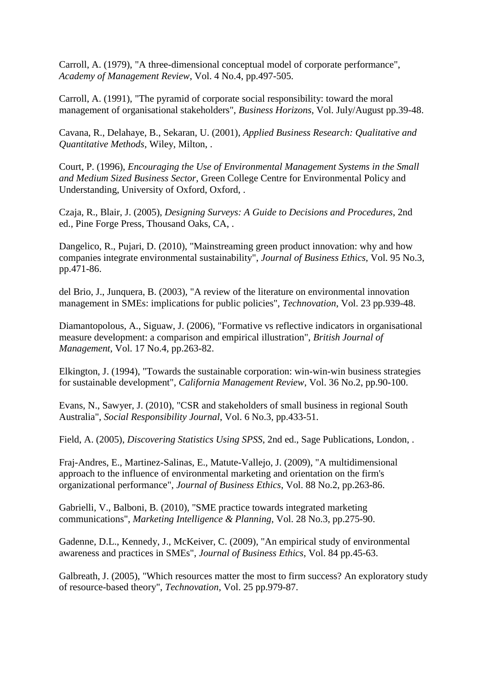Carroll, A. (1979), "A three-dimensional conceptual model of corporate performance", *Academy of Management Review*, Vol. 4 No.4, pp.497-505.

Carroll, A. (1991), "The pyramid of corporate social responsibility: toward the moral management of organisational stakeholders", *Business Horizons*, Vol. July/August pp.39-48.

Cavana, R., Delahaye, B., Sekaran, U. (2001), *Applied Business Research: Qualitative and Quantitative Methods*, Wiley, Milton, .

Court, P. (1996), *Encouraging the Use of Environmental Management Systems in the Small and Medium Sized Business Sector*, Green College Centre for Environmental Policy and Understanding, University of Oxford, Oxford, .

Czaja, R., Blair, J. (2005), *Designing Surveys: A Guide to Decisions and Procedures*, 2nd ed., Pine Forge Press, Thousand Oaks, CA, .

Dangelico, R., Pujari, D. (2010), "Mainstreaming green product innovation: why and how companies integrate environmental sustainability", *Journal of Business Ethics*, Vol. 95 No.3, pp.471-86.

del Brio, J., Junquera, B. (2003), "A review of the literature on environmental innovation management in SMEs: implications for public policies", *Technovation*, Vol. 23 pp.939-48.

Diamantopolous, A., Siguaw, J. (2006), "Formative vs reflective indicators in organisational measure development: a comparison and empirical illustration", *British Journal of Management*, Vol. 17 No.4, pp.263-82.

Elkington, J. (1994), "Towards the sustainable corporation: win-win-win business strategies for sustainable development", *California Management Review*, Vol. 36 No.2, pp.90-100.

Evans, N., Sawyer, J. (2010), "CSR and stakeholders of small business in regional South Australia", *Social Responsibility Journal*, Vol. 6 No.3, pp.433-51.

Field, A. (2005), *Discovering Statistics Using SPSS*, 2nd ed., Sage Publications, London, .

Fraj-Andres, E., Martinez-Salinas, E., Matute-Vallejo, J. (2009), "A multidimensional approach to the influence of environmental marketing and orientation on the firm's organizational performance", *Journal of Business Ethics*, Vol. 88 No.2, pp.263-86.

Gabrielli, V., Balboni, B. (2010), "SME practice towards integrated marketing communications", *Marketing Intelligence & Planning*, Vol. 28 No.3, pp.275-90.

Gadenne, D.L., Kennedy, J., McKeiver, C. (2009), "An empirical study of environmental awareness and practices in SMEs", *Journal of Business Ethics*, Vol. 84 pp.45-63.

Galbreath, J. (2005), "Which resources matter the most to firm success? An exploratory study of resource-based theory", *Technovation*, Vol. 25 pp.979-87.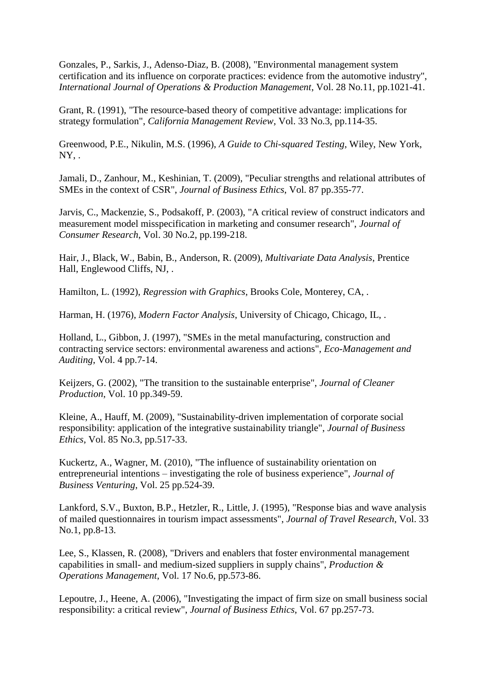Gonzales, P., Sarkis, J., Adenso-Diaz, B. (2008), "Environmental management system certification and its influence on corporate practices: evidence from the automotive industry", *International Journal of Operations & Production Management*, Vol. 28 No.11, pp.1021-41.

Grant, R. (1991), "The resource-based theory of competitive advantage: implications for strategy formulation", *California Management Review*, Vol. 33 No.3, pp.114-35.

Greenwood, P.E., Nikulin, M.S. (1996), *A Guide to Chi-squared Testing*, Wiley, New York, NY, .

Jamali, D., Zanhour, M., Keshinian, T. (2009), "Peculiar strengths and relational attributes of SMEs in the context of CSR", *Journal of Business Ethics*, Vol. 87 pp.355-77.

Jarvis, C., Mackenzie, S., Podsakoff, P. (2003), "A critical review of construct indicators and measurement model misspecification in marketing and consumer research", *Journal of Consumer Research*, Vol. 30 No.2, pp.199-218.

Hair, J., Black, W., Babin, B., Anderson, R. (2009), *Multivariate Data Analysis*, Prentice Hall, Englewood Cliffs, NJ, .

Hamilton, L. (1992), *Regression with Graphics*, Brooks Cole, Monterey, CA, .

Harman, H. (1976), *Modern Factor Analysis*, University of Chicago, Chicago, IL, .

Holland, L., Gibbon, J. (1997), "SMEs in the metal manufacturing, construction and contracting service sectors: environmental awareness and actions", *Eco-Management and Auditing*, Vol. 4 pp.7-14.

Keijzers, G. (2002), "The transition to the sustainable enterprise", *Journal of Cleaner Production*, Vol. 10 pp.349-59.

Kleine, A., Hauff, M. (2009), "Sustainability-driven implementation of corporate social responsibility: application of the integrative sustainability triangle", *Journal of Business Ethics*, Vol. 85 No.3, pp.517-33.

Kuckertz, A., Wagner, M. (2010), "The influence of sustainability orientation on entrepreneurial intentions – investigating the role of business experience", *Journal of Business Venturing*, Vol. 25 pp.524-39.

Lankford, S.V., Buxton, B.P., Hetzler, R., Little, J. (1995), "Response bias and wave analysis of mailed questionnaires in tourism impact assessments", *Journal of Travel Research*, Vol. 33 No.1, pp.8-13.

Lee, S., Klassen, R. (2008), "Drivers and enablers that foster environmental management capabilities in small- and medium-sized suppliers in supply chains", *Production & Operations Management*, Vol. 17 No.6, pp.573-86.

Lepoutre, J., Heene, A. (2006), "Investigating the impact of firm size on small business social responsibility: a critical review", *Journal of Business Ethics*, Vol. 67 pp.257-73.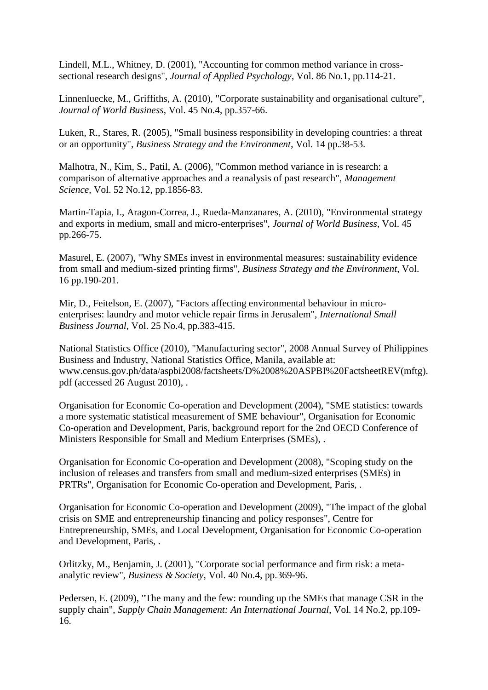Lindell, M.L., Whitney, D. (2001), "Accounting for common method variance in crosssectional research designs", *Journal of Applied Psychology*, Vol. 86 No.1, pp.114-21.

Linnenluecke, M., Griffiths, A. (2010), "Corporate sustainability and organisational culture", *Journal of World Business*, Vol. 45 No.4, pp.357-66.

Luken, R., Stares, R. (2005), "Small business responsibility in developing countries: a threat or an opportunity", *Business Strategy and the Environment*, Vol. 14 pp.38-53.

Malhotra, N., Kim, S., Patil, A. (2006), "Common method variance in is research: a comparison of alternative approaches and a reanalysis of past research", *Management Science*, Vol. 52 No.12, pp.1856-83.

Martin-Tapia, I., Aragon-Correa, J., Rueda-Manzanares, A. (2010), "Environmental strategy and exports in medium, small and micro-enterprises", *Journal of World Business*, Vol. 45 pp.266-75.

Masurel, E. (2007), "Why SMEs invest in environmental measures: sustainability evidence from small and medium-sized printing firms", *Business Strategy and the Environment*, Vol. 16 pp.190-201.

Mir, D., Feitelson, E. (2007), "Factors affecting environmental behaviour in microenterprises: laundry and motor vehicle repair firms in Jerusalem", *International Small Business Journal*, Vol. 25 No.4, pp.383-415.

National Statistics Office (2010), "Manufacturing sector", 2008 Annual Survey of Philippines Business and Industry, National Statistics Office, Manila, available at: www.census.gov.ph/data/aspbi2008/factsheets/D%2008%20ASPBI%20FactsheetREV(mftg). pdf (accessed 26 August 2010), .

Organisation for Economic Co-operation and Development (2004), "SME statistics: towards a more systematic statistical measurement of SME behaviour", Organisation for Economic Co-operation and Development, Paris, background report for the 2nd OECD Conference of Ministers Responsible for Small and Medium Enterprises (SMEs), .

Organisation for Economic Co-operation and Development (2008), "Scoping study on the inclusion of releases and transfers from small and medium-sized enterprises (SMEs) in PRTRs", Organisation for Economic Co-operation and Development, Paris, .

Organisation for Economic Co-operation and Development (2009), "The impact of the global crisis on SME and entrepreneurship financing and policy responses", Centre for Entrepreneurship, SMEs, and Local Development, Organisation for Economic Co-operation and Development, Paris, .

Orlitzky, M., Benjamin, J. (2001), "Corporate social performance and firm risk: a metaanalytic review", *Business & Society*, Vol. 40 No.4, pp.369-96.

Pedersen, E. (2009), "The many and the few: rounding up the SMEs that manage CSR in the supply chain", *Supply Chain Management: An International Journal*, Vol. 14 No.2, pp.109- 16.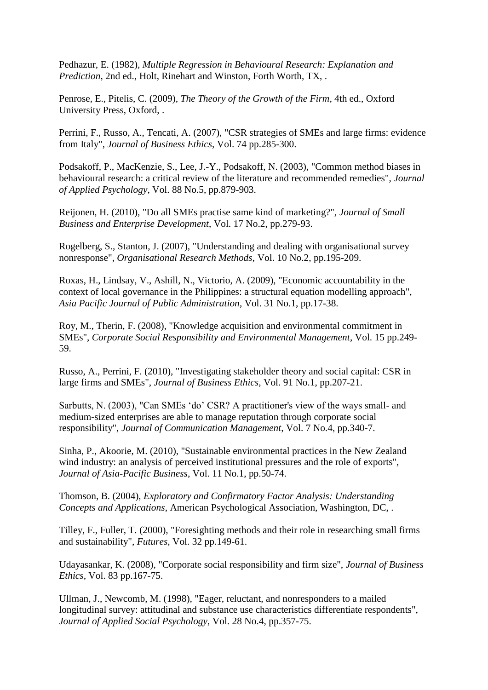Pedhazur, E. (1982), *Multiple Regression in Behavioural Research: Explanation and Prediction*, 2nd ed., Holt, Rinehart and Winston, Forth Worth, TX, .

Penrose, E., Pitelis, C. (2009), *The Theory of the Growth of the Firm*, 4th ed., Oxford University Press, Oxford, .

Perrini, F., Russo, A., Tencati, A. (2007), "CSR strategies of SMEs and large firms: evidence from Italy", *Journal of Business Ethics*, Vol. 74 pp.285-300.

Podsakoff, P., MacKenzie, S., Lee, J.-Y., Podsakoff, N. (2003), "Common method biases in behavioural research: a critical review of the literature and recommended remedies", *Journal of Applied Psychology*, Vol. 88 No.5, pp.879-903.

Reijonen, H. (2010), "Do all SMEs practise same kind of marketing?", *Journal of Small Business and Enterprise Development*, Vol. 17 No.2, pp.279-93.

Rogelberg, S., Stanton, J. (2007), "Understanding and dealing with organisational survey nonresponse", *Organisational Research Methods*, Vol. 10 No.2, pp.195-209.

Roxas, H., Lindsay, V., Ashill, N., Victorio, A. (2009), "Economic accountability in the context of local governance in the Philippines: a structural equation modelling approach", *Asia Pacific Journal of Public Administration*, Vol. 31 No.1, pp.17-38.

Roy, M., Therin, F. (2008), "Knowledge acquisition and environmental commitment in SMEs", *Corporate Social Responsibility and Environmental Management*, Vol. 15 pp.249- 59.

Russo, A., Perrini, F. (2010), "Investigating stakeholder theory and social capital: CSR in large firms and SMEs", *Journal of Business Ethics*, Vol. 91 No.1, pp.207-21.

Sarbutts, N. (2003), "Can SMEs 'do' CSR? A practitioner's view of the ways small- and medium-sized enterprises are able to manage reputation through corporate social responsibility", *Journal of Communication Management*, Vol. 7 No.4, pp.340-7.

Sinha, P., Akoorie, M. (2010), "Sustainable environmental practices in the New Zealand wind industry: an analysis of perceived institutional pressures and the role of exports", *Journal of Asia-Pacific Business*, Vol. 11 No.1, pp.50-74.

Thomson, B. (2004), *Exploratory and Confirmatory Factor Analysis: Understanding Concepts and Applications*, American Psychological Association, Washington, DC, .

Tilley, F., Fuller, T. (2000), "Foresighting methods and their role in researching small firms and sustainability", *Futures*, Vol. 32 pp.149-61.

Udayasankar, K. (2008), "Corporate social responsibility and firm size", *Journal of Business Ethics*, Vol. 83 pp.167-75.

Ullman, J., Newcomb, M. (1998), "Eager, reluctant, and nonresponders to a mailed longitudinal survey: attitudinal and substance use characteristics differentiate respondents", *Journal of Applied Social Psychology*, Vol. 28 No.4, pp.357-75.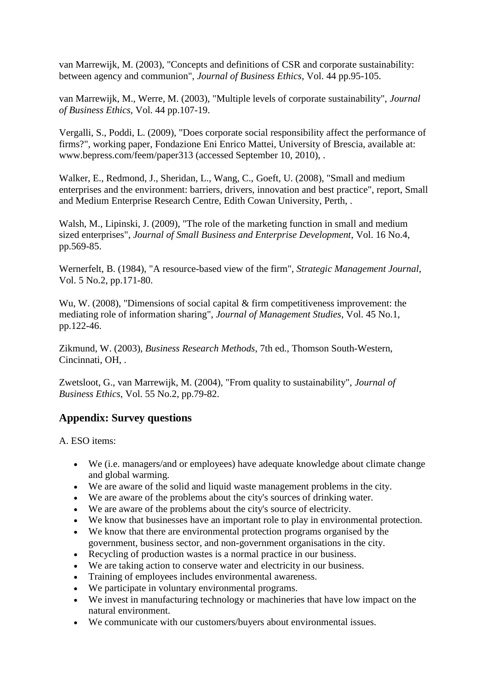van Marrewijk, M. (2003), "Concepts and definitions of CSR and corporate sustainability: between agency and communion", *Journal of Business Ethics*, Vol. 44 pp.95-105.

van Marrewijk, M., Werre, M. (2003), "Multiple levels of corporate sustainability", *Journal of Business Ethics*, Vol. 44 pp.107-19.

Vergalli, S., Poddi, L. (2009), "Does corporate social responsibility affect the performance of firms?", working paper, Fondazione Eni Enrico Mattei, University of Brescia, available at: www.bepress.com/feem/paper313 (accessed September 10, 2010), .

Walker, E., Redmond, J., Sheridan, L., Wang, C., Goeft, U. (2008), "Small and medium enterprises and the environment: barriers, drivers, innovation and best practice", report, Small and Medium Enterprise Research Centre, Edith Cowan University, Perth, .

Walsh, M., Lipinski, J. (2009), "The role of the marketing function in small and medium sized enterprises", *Journal of Small Business and Enterprise Development*, Vol. 16 No.4, pp.569-85.

Wernerfelt, B. (1984), "A resource-based view of the firm", *Strategic Management Journal*, Vol. 5 No.2, pp.171-80.

Wu, W. (2008), "Dimensions of social capital & firm competitiveness improvement: the mediating role of information sharing", *Journal of Management Studies*, Vol. 45 No.1, pp.122-46.

Zikmund, W. (2003), *Business Research Methods*, 7th ed., Thomson South-Western, Cincinnati, OH, .

Zwetsloot, G., van Marrewijk, M. (2004), "From quality to sustainability", *Journal of Business Ethics*, Vol. 55 No.2, pp.79-82.

# **Appendix: Survey questions**

A. ESO items:

- We (i.e. managers/and or employees) have adequate knowledge about climate change and global warming.
- We are aware of the solid and liquid waste management problems in the city.
- We are aware of the problems about the city's sources of drinking water.
- We are aware of the problems about the city's source of electricity.
- We know that businesses have an important role to play in environmental protection.
- We know that there are environmental protection programs organised by the government, business sector, and non-government organisations in the city.
- Recycling of production wastes is a normal practice in our business.
- We are taking action to conserve water and electricity in our business.
- Training of employees includes environmental awareness.
- We participate in voluntary environmental programs.
- We invest in manufacturing technology or machineries that have low impact on the natural environment.
- We communicate with our customers/buyers about environmental issues.